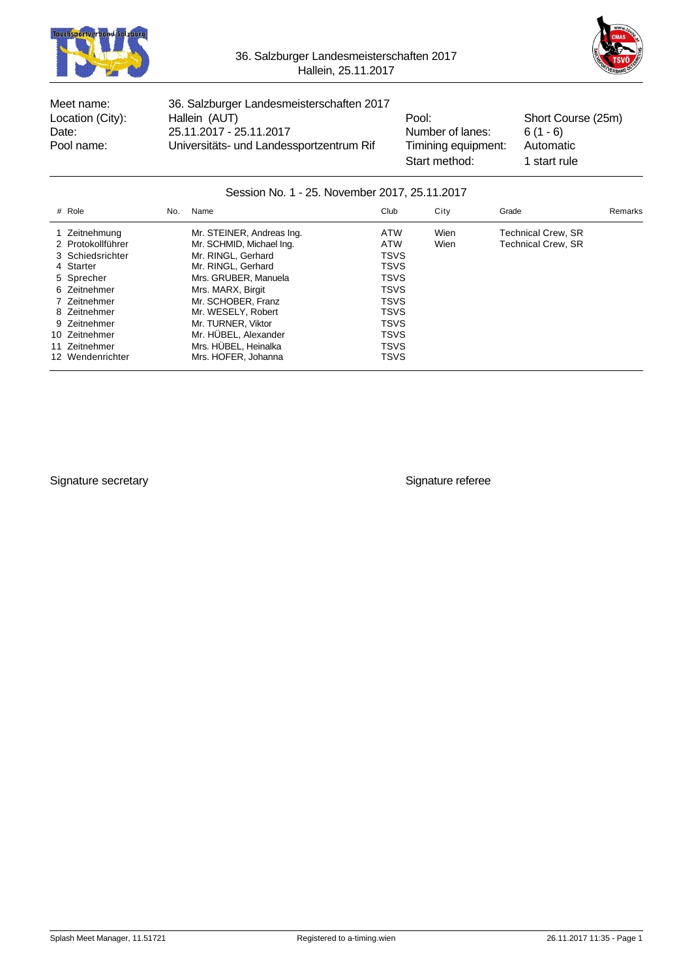



Meet name: 36. Salzburger Landesmeisterschaften 2017 Location (City): Hallein (AUT) **Pool:** Pool: Short Course (25m) Date: 25.11.2017 - 25.11.2017<br>Pool name: Universitäts- und Landessportzentrum Rif Timining equipment: Automatic Pool name: Universitäts- und Landessportzentrum Rif Timining equipment:

Start method: 1 start rule

#### Session No. 1 - 25. November 2017, 25.11.2017

| # Role            | No. | Name                      | Club        | City | Grade                     | Remarks |
|-------------------|-----|---------------------------|-------------|------|---------------------------|---------|
| 1 Zeitnehmung     |     | Mr. STEINER, Andreas Ing. | ATW         | Wien | Technical Crew. SR        |         |
| 2 Protokollführer |     | Mr. SCHMID, Michael Ing.  | <b>ATW</b>  | Wien | <b>Technical Crew, SR</b> |         |
| 3 Schiedsrichter  |     | Mr. RINGL. Gerhard        | <b>TSVS</b> |      |                           |         |
| 4 Starter         |     | Mr. RINGL. Gerhard        | <b>TSVS</b> |      |                           |         |
| 5 Sprecher        |     | Mrs. GRUBER, Manuela      | <b>TSVS</b> |      |                           |         |
| 6 Zeitnehmer      |     | Mrs. MARX, Birgit         | <b>TSVS</b> |      |                           |         |
| 7 Zeitnehmer      |     | Mr. SCHOBER, Franz        | <b>TSVS</b> |      |                           |         |
| 8 Zeitnehmer      |     | Mr. WESELY, Robert        | <b>TSVS</b> |      |                           |         |
| 9 Zeitnehmer      |     | Mr. TURNER, Viktor        | <b>TSVS</b> |      |                           |         |
| 10 Zeitnehmer     |     | Mr. HÜBEL, Alexander      | <b>TSVS</b> |      |                           |         |
| 11 Zeitnehmer     |     | Mrs. HÜBEL, Heinalka      | <b>TSVS</b> |      |                           |         |
| 12 Wendenrichter  |     | Mrs. HOFER, Johanna       | <b>TSVS</b> |      |                           |         |

Signature secretary **Signature referee**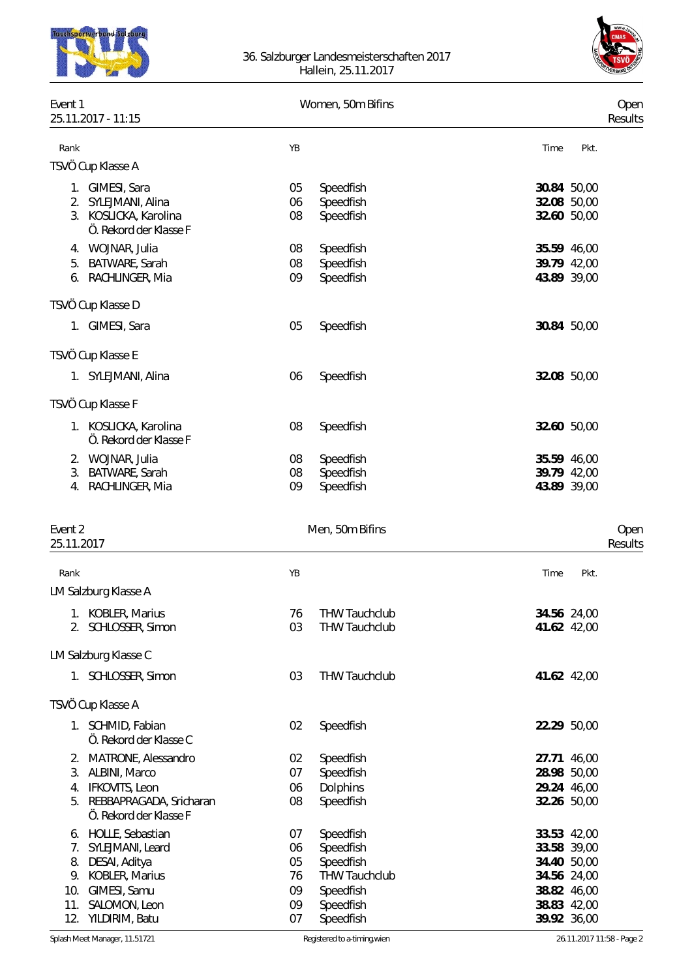



| Event 1               | 25.11.2017 - 11:15                                                                                                                                 |                                        | Women, 50m Bifins                                                                                  |      |                                                                                                       | Oper<br>Results |
|-----------------------|----------------------------------------------------------------------------------------------------------------------------------------------------|----------------------------------------|----------------------------------------------------------------------------------------------------|------|-------------------------------------------------------------------------------------------------------|-----------------|
| Rank                  |                                                                                                                                                    | YB                                     |                                                                                                    | Time | Pkt.                                                                                                  |                 |
|                       | TSVÖ Cup Klasse A                                                                                                                                  |                                        |                                                                                                    |      |                                                                                                       |                 |
|                       | 1. GIMESI, Sara<br>2. SYLEJMANI, Alina<br>3. KOSLICKA, Karolina<br>Ö. Rekord der Klasse F                                                          | 05<br>06<br>08                         | Speedfish<br>Speedfish<br>Speedfish                                                                |      | 30.84 50,00<br>32.08 50,00<br>32.60 50,00                                                             |                 |
|                       | 4. WOJNAR, Julia<br>5. BATWARE, Sarah<br>6. RACHLINGER, Mia                                                                                        | 08<br>08<br>09                         | Speedfish<br>Speedfish<br>Speedfish                                                                |      | 35.59 46,00<br>39.79 42,00<br>43.89 39,00                                                             |                 |
|                       | TSVÖ Cup Klasse D                                                                                                                                  |                                        |                                                                                                    |      |                                                                                                       |                 |
|                       | 1. GIMESI, Sara                                                                                                                                    | 05                                     | Speedfish                                                                                          |      | 30.84 50,00                                                                                           |                 |
|                       | TSVÖ Cup Klasse E                                                                                                                                  |                                        |                                                                                                    |      |                                                                                                       |                 |
|                       | 1. SYLEJMANI, Alina                                                                                                                                | 06                                     | Speedfish                                                                                          |      | 32.08 50,00                                                                                           |                 |
|                       | TSVÖ Cup Klasse F                                                                                                                                  |                                        |                                                                                                    |      |                                                                                                       |                 |
|                       | 1. KOSLICKA, Karolina<br>Ö. Rekord der Klasse F                                                                                                    | 08                                     | Speedfish                                                                                          |      | 32.60 50,00                                                                                           |                 |
|                       | 2. WOJNAR, Julia<br>3. BATWARE, Sarah<br>4. RACHLINGER, Mia                                                                                        | 08<br>08<br>09                         | Speedfish<br>Speedfish<br>Speedfish                                                                |      | 35.59 46,00<br>39.79 42,00<br>43.89 39,00                                                             |                 |
| Event 2<br>25.11.2017 |                                                                                                                                                    |                                        | Men, 50m Bifins                                                                                    |      |                                                                                                       | Oper<br>Results |
| Rank                  |                                                                                                                                                    | ΥB                                     |                                                                                                    | Time | Pkt.                                                                                                  |                 |
|                       | LM Salzburg Klasse A                                                                                                                               |                                        |                                                                                                    |      |                                                                                                       |                 |
|                       | 1. KOBLER, Marius<br>2. SCHLOSSER, Simon                                                                                                           | 76<br>03                               | <b>THW Tauchclub</b><br><b>THW Tauchclub</b>                                                       |      | 34.56 24,00<br>41.62 42,00                                                                            |                 |
|                       | LM Salzburg Klasse C                                                                                                                               |                                        |                                                                                                    |      |                                                                                                       |                 |
|                       | 1. SCHLOSSER, Simon                                                                                                                                | 03                                     | <b>THW Tauchclub</b>                                                                               |      | 41.62 42,00                                                                                           |                 |
|                       | TSVÖ Cup Klasse A                                                                                                                                  |                                        |                                                                                                    |      |                                                                                                       |                 |
|                       | 1. SCHMID, Fabian<br>Ö. Rekord der Klasse C                                                                                                        | 02                                     | Speedfish                                                                                          |      | 22.29 50,00                                                                                           |                 |
|                       | 2. MATRONE, Alessandro<br>3. ALBINI, Marco<br>4. IFKOVITS, Leon<br>5. REBBAPRAGADA, Sricharan<br>Ö. Rekord der Klasse F                            | 02<br>07<br>06<br>08                   | Speedfish<br>Speedfish<br>Dolphins<br>Speedfish                                                    |      | 27.71 46,00<br>28.98 50,00<br>29.24 46,00<br>32.26 50,00                                              |                 |
|                       | 6. HOLLE, Sebastian<br>7. SYLEJMANI, Leard<br>8. DESAI, Aditya<br>9. KOBLER, Marius<br>10. GIMESI, Samu<br>11. SALOMON, Leon<br>12. YILDIRIM, Batu | 07<br>06<br>05<br>76<br>09<br>09<br>07 | Speedfish<br>Speedfish<br>Speedfish<br><b>THW Tauchclub</b><br>Speedfish<br>Speedfish<br>Speedfish |      | 33.53 42,00<br>33.58 39,00<br>34.40 50,00<br>34.56 24,00<br>38.82 46,00<br>38.83 42,00<br>39.92 36,00 |                 |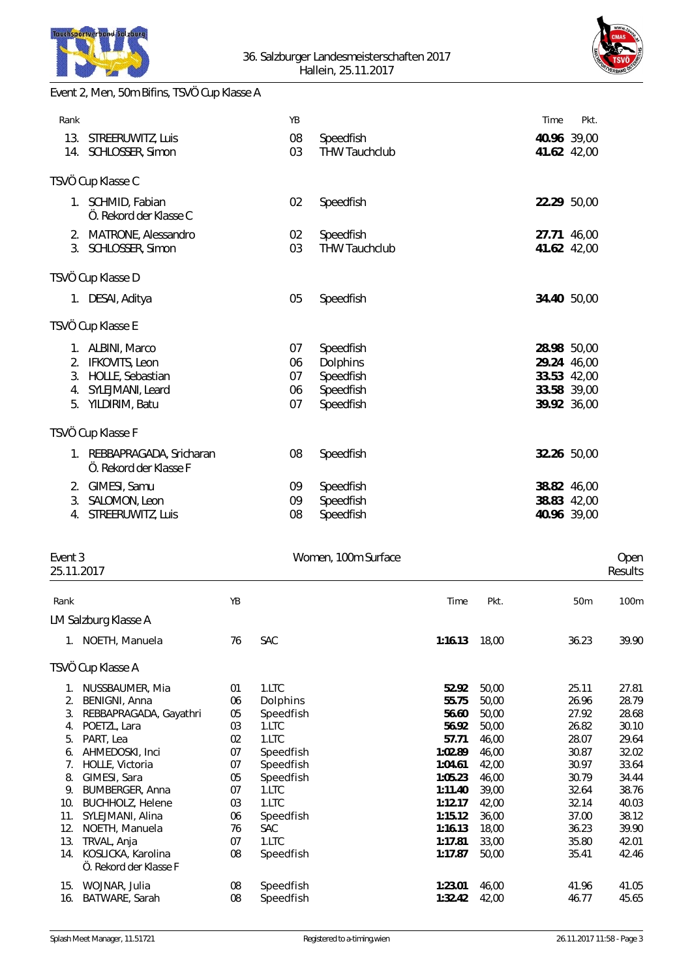



## Event 2, Men, 50m Bifins, TSVÖ Cup Klasse A

|                                                                                                        | YB                         |                                                              | Time                                                                    | Pkt. |
|--------------------------------------------------------------------------------------------------------|----------------------------|--------------------------------------------------------------|-------------------------------------------------------------------------|------|
| 13. STREERUWITZ, Luis<br>14. SCHLOSSER, Simon                                                          | 08<br>03                   | Speedfish<br><b>THW Tauchclub</b>                            | 40.96 39,00<br>41.62 42,00                                              |      |
| TSVÖ Cup Klasse C                                                                                      |                            |                                                              |                                                                         |      |
| 1. SCHMID, Fabian<br>Ö. Rekord der Klasse C                                                            | 02                         | Speedfish                                                    | 22.29 50,00                                                             |      |
| 2. MATRONE, Alessandro<br>3. SCHLOSSER, Simon                                                          | 02<br>03                   | Speedfish<br><b>THW Tauchclub</b>                            | 27.71 46,00<br>41.62 42,00                                              |      |
| TSVÖ Cup Klasse D                                                                                      |                            |                                                              |                                                                         |      |
| 1. DESAI, Aditya                                                                                       | 05                         | Speedfish                                                    | 34.40 50,00                                                             |      |
| TSVÖ Cup Klasse E                                                                                      |                            |                                                              |                                                                         |      |
| 1. ALBINI, Marco<br><b>IFKOVITS, Leon</b><br>HOLLE, Sebastian<br>SYLEJMANI, Leard<br>5. YILDIRIM, Batu | 07<br>06<br>07<br>06<br>07 | Speedfish<br>Dolphins<br>Speedfish<br>Speedfish<br>Speedfish | 28.98 50,00<br>29.24 46,00<br>33.53 42,00<br>33.58 39,00<br>39.92 36,00 |      |
| TSVÖ Cup Klasse F                                                                                      |                            |                                                              |                                                                         |      |
| 1. REBBAPRAGADA, Sricharan<br>Ö. Rekord der Klasse F                                                   | 08                         | Speedfish                                                    | 32.26 50,00                                                             |      |
| 2. GIMESI, Samu<br>SALOMON, Leon<br>4. STREERUWITZ, Luis                                               | 09<br>09<br>08             | Speedfish<br>Speedfish<br>Speedfish                          | 38.82 46,00<br>38.83 42,00<br>40.96 39,00                               |      |
|                                                                                                        |                            |                                                              |                                                                         |      |

# Event 3 Communication of the United States of Women, 100m Surface Communication of the Open

|      | 25.11.2017                                   |    |            |         |       |       | Results |
|------|----------------------------------------------|----|------------|---------|-------|-------|---------|
| Rank |                                              | YB |            | Time    | Pkt.  | 50m   | 100m    |
|      | LM Salzburg Klasse A                         |    |            |         |       |       |         |
| 1.   | NOETH, Manuela                               | 76 | SAC        | 1:16.13 | 18,00 | 36.23 | 39.90   |
|      | TSVÖ Cup Klasse A                            |    |            |         |       |       |         |
| 1.   | NUSSBAUMER, Mia                              | 01 | 1.LTC      | 52.92   | 50,00 | 25.11 | 27.81   |
| 2.   | BENIGNI, Anna                                | 06 | Dolphins   | 55.75   | 50,00 | 26.96 | 28.79   |
| 3.   | REBBAPRAGADA, Gayathri                       | 05 | Speedfish  | 56.60   | 50,00 | 27.92 | 28.68   |
| 4.   | POETZL, Lara                                 | 03 | 1.LTC      | 56.92   | 50,00 | 26.82 | 30.10   |
| 5.   | PART, Lea                                    | 02 | 1.LTC      | 57.71   | 46,00 | 28.07 | 29.64   |
| 6.   | AHMEDOSKI, Inci                              | 07 | Speedfish  | 1:02.89 | 46,00 | 30.87 | 32.02   |
| 7.   | HOLLE, Victoria                              | 07 | Speedfish  | 1:04.61 | 42,00 | 30.97 | 33.64   |
| 8.   | GIMESI, Sara                                 | 05 | Speedfish  | 1:05.23 | 46,00 | 30.79 | 34.44   |
| 9.   | BUMBERGER, Anna                              | 07 | 1.LTC      | 1:11.40 | 39,00 | 32.64 | 38.76   |
| 10.  | <b>BUCHHOLZ, Helene</b>                      | 03 | 1.LTC      | 1:12.17 | 42,00 | 32.14 | 40.03   |
| 11.  | SYLEJMANI, Alina                             | 06 | Speedfish  | 1:15.12 | 36,00 | 37.00 | 38.12   |
| 12.  | NOETH, Manuela                               | 76 | <b>SAC</b> | 1:16.13 | 18,00 | 36.23 | 39.90   |
| 13.  | TRVAL, Anja                                  | 07 | 1.LTC      | 1:17.81 | 33,00 | 35.80 | 42.01   |
| 14.  | KOSLICKA, Karolina<br>Ö. Rekord der Klasse F | 08 | Speedfish  | 1:17.87 | 50,00 | 35.41 | 42.46   |
| 15.  | WOJNAR, Julia                                | 08 | Speedfish  | 1:23.01 | 46,00 | 41.96 | 41.05   |
| 16.  | BATWARE, Sarah                               | 08 | Speedfish  | 1:32.42 | 42,00 | 46.77 | 45.65   |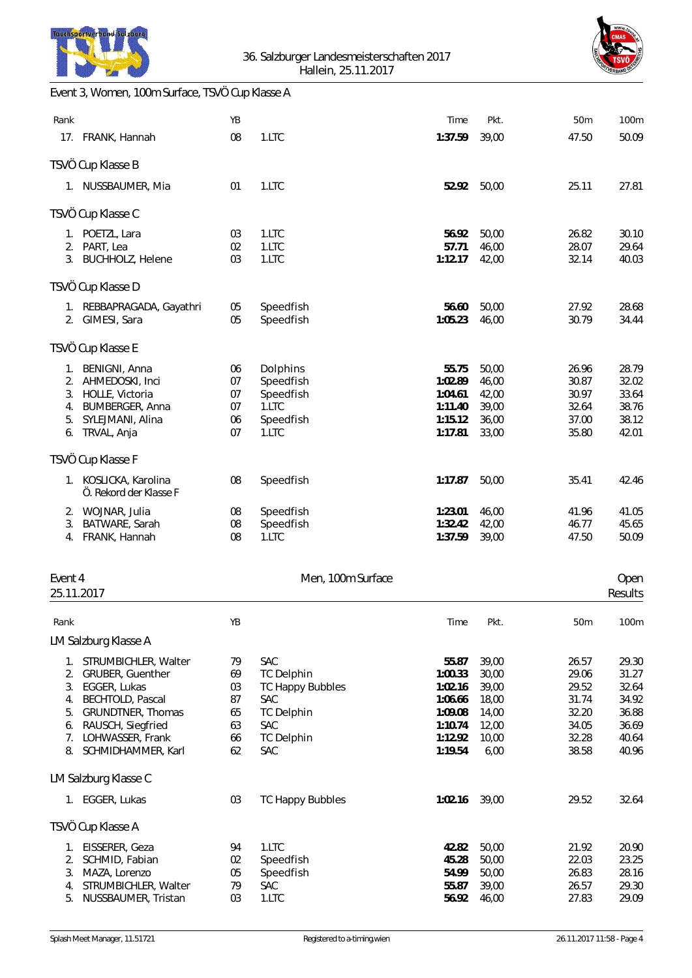



#### Event 3, Women, 100m Surface, TSVÖ Cup Klasse A

| Rank       |                                                 | YB |                         | Time    | Pkt.  | 50m   | 100m    |
|------------|-------------------------------------------------|----|-------------------------|---------|-------|-------|---------|
|            | 17. FRANK, Hannah                               | 08 | 1.LTC                   | 1:37.59 | 39,00 | 47.50 | 50.09   |
|            | TSVÖ Cup Klasse B                               |    |                         |         |       |       |         |
|            | 1. NUSSBAUMER, Mia                              | 01 | 1.LTC                   | 52.92   | 50,00 | 25.11 | 27.81   |
|            | TSVÖ Cup Klasse C                               |    |                         |         |       |       |         |
|            | 1. POETZL, Lara                                 | 03 | 1.LTC                   | 56.92   | 50,00 | 26.82 | 30.10   |
|            | 2. PART, Lea                                    | 02 | 1.LTC                   | 57.71   | 46,00 | 28.07 | 29.64   |
|            | 3. BUCHHOLZ, Helene                             | 03 | 1.LTC                   | 1:12.17 | 42,00 | 32.14 | 40.03   |
|            | TSVÖ Cup Klasse D                               |    |                         |         |       |       |         |
|            | 1. REBBAPRAGADA, Gayathri                       | 05 | Speedfish               | 56.60   | 50,00 | 27.92 | 28.68   |
|            | 2. GIMESI, Sara                                 | 05 | Speedfish               | 1:05.23 | 46,00 | 30.79 | 34.44   |
|            | TSVÖ Cup Klasse E                               |    |                         |         |       |       |         |
|            | 1. BENIGNI, Anna                                | 06 | Dolphins                | 55.75   | 50,00 | 26.96 | 28.79   |
| 2.         | AHMEDOSKI, Inci                                 | 07 | Speedfish               | 1:02.89 | 46,00 | 30.87 | 32.02   |
|            | 3. HOLLE, Victoria                              | 07 | Speedfish               | 1:04.61 | 42,00 | 30.97 | 33.64   |
|            | 4. BUMBERGER, Anna                              | 07 | 1.LTC                   | 1:11.40 | 39,00 | 32.64 | 38.76   |
| 5.         | SYLEJMANI, Alina                                | 06 | Speedfish               | 1:15.12 | 36,00 | 37.00 | 38.12   |
|            | 6. TRVAL, Anja                                  | 07 | 1.LTC                   | 1:17.81 | 33,00 | 35.80 | 42.01   |
|            | TSVÖ Cup Klasse F                               |    |                         |         |       |       |         |
|            | 1. KOSLICKA, Karolina<br>Ö. Rekord der Klasse F | 08 | Speedfish               | 1:17.87 | 50,00 | 35.41 | 42.46   |
|            | 2. WOJNAR, Julia                                | 08 | Speedfish               | 1:23.01 | 46,00 | 41.96 | 41.05   |
| 3.         | BATWARE, Sarah                                  | 08 | Speedfish               | 1:32.42 | 42,00 | 46.77 | 45.65   |
| 4.         | FRANK, Hannah                                   | 08 | 1.LTC                   | 1:37.59 | 39,00 | 47.50 | 50.09   |
|            |                                                 |    |                         |         |       |       |         |
| Event 4    |                                                 |    | Men, 100m Surface       |         |       |       | Open    |
| 25.11.2017 |                                                 |    |                         |         |       |       | Results |
| Rank       |                                                 | YB |                         | Time    | Pkt.  | 50m   | 100m    |
|            | LM Salzburg Klasse A                            |    |                         |         |       |       |         |
|            | 1. STRUMBICHLER, Walter                         | 79 | SAC                     | 55.87   | 39,00 | 26.57 | 29.30   |
| 2.         | GRUBER, Guenther                                | 69 | <b>TC Delphin</b>       | 1:00.33 | 30,00 | 29.06 | 31.27   |
|            | 3. EGGER, Lukas                                 | 03 | <b>TC Happy Bubbles</b> | 1:02.16 | 39,00 | 29.52 | 32.64   |
| 4.         | <b>BECHTOLD, Pascal</b>                         | 87 | SAC                     | 1:06.66 | 18,00 | 31.74 | 34.92   |

6. RAUSCH, Siegfried 63 SAC **1:10.74 12,00** 

8. SCHMIDHAMMER, Karl 62 SAC **1:19.54** 6,00

LM Salzburg Klasse C

4. BECHTOLD, Pascal **87** SAC **1:06.66 18,00** 31.74 34.92<br>5. GRUNDTNER, Thomas 65 TC Delphin 1:09.08 14,00 32.20 36.88 5. GRUNDTNER, Thomas 65 TC Delphin **1:09.08** 14,00 32.20 36.88

7. LOHWASSER, Frank 66 TC Delphin **1:12.92** 10,00 32.28 40.64

1. EGGER, Lukas 03 TC Happy Bubbles **1:02.16** 39,00 29.52 32.64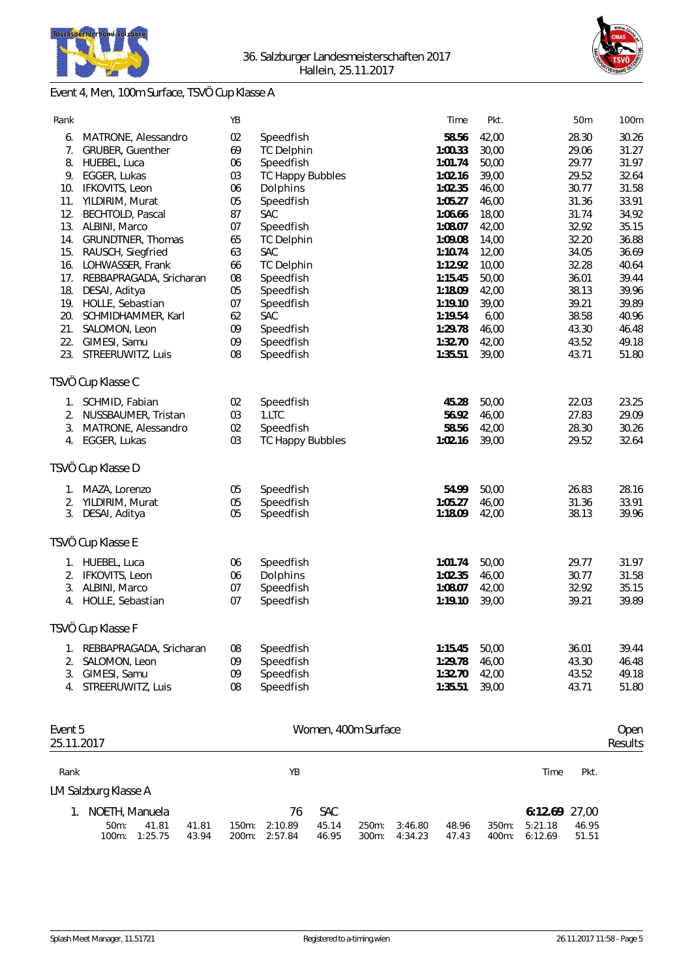



# Event 4, Men, 100m Surface, TSVÖ Cup Klasse A

| Rank                  |                                                     | YB             |                          |                     |                |                    | Time               | Pkt.           |                    | 50m            | 100m            |
|-----------------------|-----------------------------------------------------|----------------|--------------------------|---------------------|----------------|--------------------|--------------------|----------------|--------------------|----------------|-----------------|
| 6.                    | MATRONE, Alessandro                                 | 02             | Speedfish                |                     |                |                    | 58.56              | 42,00          |                    | 28.30          | 30.26           |
|                       | 7. GRUBER, Guenther                                 | 69             | <b>TC Delphin</b>        |                     |                |                    | 1:00.33            | 30,00          |                    | 29.06          | 31.27           |
| 8.                    | HUEBEL, Luca                                        | 06             | Speedfish                |                     |                |                    | 1:01.74            | 50,00          |                    | 29.77          | 31.97           |
|                       | 9. EGGER, Lukas                                     | 03             | <b>TC Happy Bubbles</b>  |                     |                |                    | 1:02.16            | 39,00          |                    | 29.52          | 32.64           |
| 10.                   | IFKOVITS, Leon                                      | 06             | Dolphins                 |                     |                |                    | 1:02.35            | 46,00          |                    | 30.77          | 31.58           |
| 11.                   | YILDIRIM, Murat                                     | 05             | Speedfish                |                     |                |                    | 1:05.27            | 46,00          |                    | 31.36          | 33.91           |
| 12.                   | BECHTOLD, Pascal                                    | 87             | SAC                      |                     |                |                    | 1:06.66            | 18,00          |                    | 31.74          | 34.92           |
|                       | 13. ALBINI, Marco                                   | 07             | Speedfish                |                     |                |                    | 1:08.07            | 42,00          |                    | 32.92          | 35.15           |
| 15.                   | 14. GRUNDTNER, Thomas<br>RAUSCH, Siegfried          | 65<br>63       | <b>TC Delphin</b><br>SAC |                     |                |                    | 1:09.08<br>1:10.74 | 14,00<br>12,00 |                    | 32.20<br>34.05 | 36.88<br>36.69  |
| 16.                   | LOHWASSER, Frank                                    | 66             | <b>TC Delphin</b>        |                     |                |                    | 1:12.92            | 10,00          |                    | 32.28          | 40.64           |
| 17.                   | REBBAPRAGADA, Sricharan                             | 08             | Speedfish                |                     |                |                    | 1:15.45            | 50,00          |                    | 36.01          | 39.44           |
| 18.                   | DESAI, Aditya                                       | 05             | Speedfish                |                     |                |                    | 1:18.09            | 42,00          |                    | 38.13          | 39.96           |
|                       | 19. HOLLE, Sebastian                                | 07             | Speedfish                |                     |                |                    | 1:19.10            | 39,00          |                    | 39.21          | 39.89           |
| 20.                   | SCHMIDHAMMER, Karl                                  | 62             | SAC                      |                     |                |                    | 1:19.54            | 6,00           |                    | 38.58          | 40.96           |
| 21.                   | SALOMON, Leon                                       | 09             | Speedfish                |                     |                |                    | 1:29.78            | 46,00          |                    | 43.30          | 46.48           |
|                       | 22. GIMESI, Samu                                    | 09             | Speedfish                |                     |                |                    | 1:32.70            | 42,00          |                    | 43.52          | 49.18           |
|                       | 23. STREERUWITZ, Luis                               | 08             | Speedfish                |                     |                |                    | 1:35.51            | 39,00          |                    | 43.71          | 51.80           |
|                       | TSVÖ Cup Klasse C                                   |                |                          |                     |                |                    |                    |                |                    |                |                 |
|                       | 1. SCHMID, Fabian                                   | 02             | Speedfish                |                     |                |                    | 45.28              | 50,00          |                    | 22.03          | 23.25           |
| 2.                    | NUSSBAUMER, Tristan                                 | 03             | 1.LTC                    |                     |                |                    | 56.92              | 46,00          |                    | 27.83          | 29.09           |
| 3.                    | MATRONE, Alessandro                                 | 02             | Speedfish                |                     |                |                    | 58.56              | 42,00          |                    | 28.30          | 30.26           |
|                       | 4. EGGER, Lukas                                     | 03             | <b>TC Happy Bubbles</b>  |                     |                |                    | 1:02.16            | 39,00          |                    | 29.52          | 32.64           |
|                       | TSVÖ Cup Klasse D                                   |                |                          |                     |                |                    |                    |                |                    |                |                 |
| 1.                    | MAZA, Lorenzo                                       | 05             | Speedfish                |                     |                |                    | 54.99              | 50,00          |                    | 26.83          | 28.16           |
|                       | 2. YILDIRIM, Murat                                  | 05             | Speedfish                |                     |                |                    | 1:05.27            | 46,00          |                    | 31.36          | 33.91           |
|                       | 3. DESAI, Aditya                                    | 05             | Speedfish                |                     |                |                    | 1:18.09            | 42,00          |                    | 38.13          | 39.96           |
|                       | TSVÖ Cup Klasse E                                   |                |                          |                     |                |                    |                    |                |                    |                |                 |
|                       | 1. HUEBEL, Luca                                     | 06             | Speedfish                |                     |                |                    | 1:01.74            | 50,00          |                    | 29.77          | 31.97           |
|                       | 2. IFKOVITS, Leon                                   | 06             | Dolphins                 |                     |                |                    | 1:02.35            | 46,00          |                    | 30.77          | 31.58           |
|                       | 3. ALBINI, Marco                                    | 07             | Speedfish                |                     |                |                    | 1:08.07            | 42,00          |                    | 32.92          | 35.15           |
|                       | 4. HOLLE, Sebastian                                 | 07             | Speedfish                |                     |                |                    | 1:19.10            | 39,00          |                    | 39.21          | 39.89           |
|                       | TSVÖ Cup Klasse F                                   |                |                          |                     |                |                    |                    |                |                    |                |                 |
|                       | 1. REBBAPRAGADA, Sricharan                          | 08             | Speedfish                |                     |                |                    | 1:15.45            | 50,00          |                    | 36.01          | 39.44           |
| 2.                    | SALOMON, Leon                                       | 09             | Speedfish                |                     |                |                    | 1:29.78            | 46,00          |                    | 43.30          | 46.48           |
| 3.                    | GIMESI, Samu                                        | 09             | Speedfish                |                     |                |                    | 1:32.70            | 42,00          |                    | 43.52          | 49.18           |
|                       | 4. STREERUWITZ, Luis                                | 08             | Speedfish                |                     |                |                    | 1:35.51            | 39,00          |                    | 43.71          | 51.80           |
|                       |                                                     |                |                          |                     |                |                    |                    |                |                    |                |                 |
| Event 5<br>25.11.2017 |                                                     |                |                          | Women, 400m Surface |                |                    |                    |                |                    |                | Open<br>Results |
|                       |                                                     |                |                          |                     |                |                    |                    |                |                    |                |                 |
| Rank                  |                                                     |                | YB                       |                     |                |                    |                    |                | Time               | Pkt.           |                 |
|                       | LM Salzburg Klasse A                                |                |                          |                     |                |                    |                    |                |                    |                |                 |
|                       | 1. NOETH, Manuela                                   |                | 76                       | <b>SAC</b>          |                |                    |                    |                | 6:12.69 27,00      |                |                 |
|                       | 50m:<br>41.81<br>41.81<br>100m:<br>1:25.75<br>43.94 | 150m:<br>200m: | 2:10.89<br>2:57.84       | 45.14<br>46.95      | 250m:<br>300m: | 3:46.80<br>4:34.23 | 48.96<br>47.43     | 350m:<br>400m: | 5:21.18<br>6:12.69 | 46.95<br>51.51 |                 |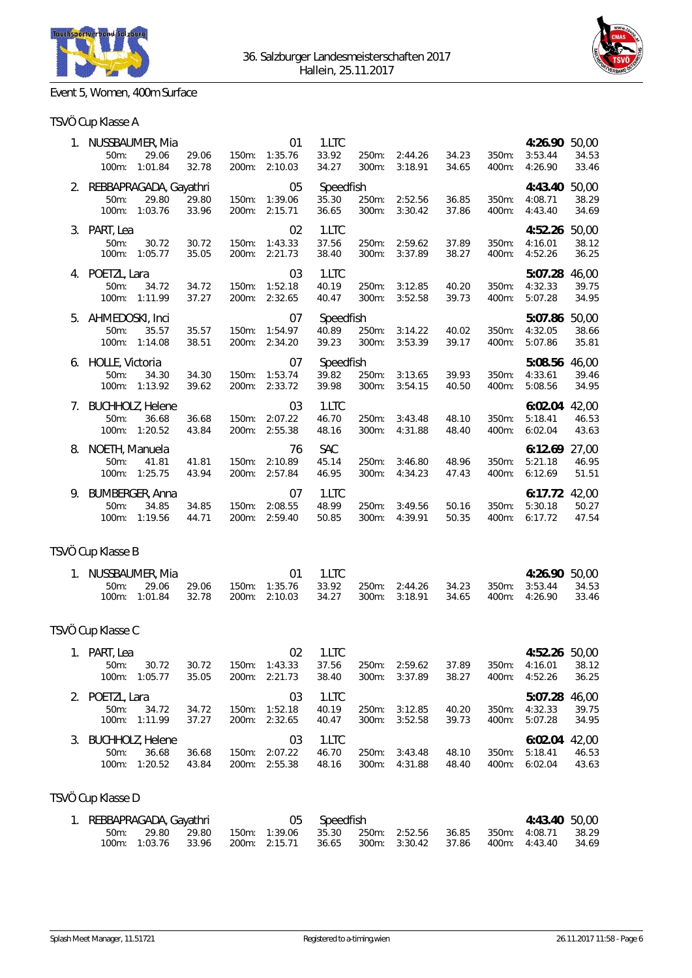



# Event 5, Women, 400m Surface

|  | TSVÖ Cup Klasse A |  |
|--|-------------------|--|
|--|-------------------|--|

|    | 1. NUSSBAUMER, Mia<br>50m:<br>29.06<br>100m: 1:01.84              | 29.06<br>32.78 |                   | 01<br>150m: 1:35.76<br>200m: 2:10.03 | 1.LTC<br>33.92<br>34.27      | 250m:<br>300m:    | 2:44.26<br>3:18.91 | 34.23<br>34.65 | 350m:<br>400m: | 4:26.90 50,00<br>3:53.44<br>4:26.90 | 34.53<br>33.46          |
|----|-------------------------------------------------------------------|----------------|-------------------|--------------------------------------|------------------------------|-------------------|--------------------|----------------|----------------|-------------------------------------|-------------------------|
|    | 2. REBBAPRAGADA, Gayathri<br>50m:<br>29.80                        | 29.80          | 150m:             | 05<br>1:39.06                        | Speedfish<br>35.30           | 250m:             | 2:52.56            | 36.85          | 350m:          | 4:43.40<br>4:08.71                  | 50,00<br>38.29          |
|    | 100m: 1:03.76                                                     | 33.96          | 200m:             | 2:15.71                              | 36.65                        | 300m:             | 3:30.42            | 37.86          | 400m:          | 4:43.40                             | 34.69                   |
|    | 3. PART, Lea<br>50m:<br>30.72<br>100m:<br>1:05.77                 | 30.72<br>35.05 | 150m:<br>200m:    | 02<br>1:43.33<br>2:21.73             | 1.LTC<br>37.56<br>38.40      | 250m:<br>300m:    | 2:59.62<br>3:37.89 | 37.89<br>38.27 | 350m:<br>400m: | 4:52.26<br>4:16.01<br>4:52.26       | 50,00<br>38.12<br>36.25 |
|    | 4. POETZL, Lara<br>$50m$ :<br>34.72<br>100m: 1:11.99              | 34.72<br>37.27 | 200m:             | 03<br>150m: 1:52.18<br>2:32.65       | 1.LTC<br>40.19<br>40.47      | 250m:<br>300m:    | 3:12.85<br>3:52.58 | 40.20<br>39.73 | 350m:<br>400m: | 5:07.28 46,00<br>4:32.33<br>5:07.28 | 39.75<br>34.95          |
|    | 5. AHMEDOSKI, Inci<br>35.57<br>50m:<br>100m: 1:14.08              | 35.57<br>38.51 | $150m$ :          | 07<br>1:54.97<br>200m: 2:34.20       | Speedfish<br>40.89<br>39.23  | 250m:<br>300m:    | 3:14.22<br>3:53.39 | 40.02<br>39.17 | 350m:<br>400m: | 5:07.86<br>4:32.05<br>5:07.86       | 50,00<br>38.66<br>35.81 |
|    | 6. HOLLE, Victoria<br>50m:<br>34.30<br>100m: 1:13.92              | 34.30<br>39.62 | 150m:             | 07<br>1:53.74<br>200m: 2:33.72       | Speedfish<br>39.82<br>39.98  | 250m:<br>300m:    | 3:13.65<br>3:54.15 | 39.93<br>40.50 | 350m:<br>400m: | 5:08.56<br>4:33.61<br>5:08.56       | 46,00<br>39.46<br>34.95 |
|    | 7. BUCHHOLZ, Helene<br>50m:<br>36.68<br>100m: 1:20.52             | 36.68<br>43.84 | $150m$ :          | 03<br>2:07.22<br>200m: 2:55.38       | 1.LTC<br>46.70<br>48.16      | 250m:<br>300m:    | 3:43.48<br>4:31.88 | 48.10<br>48.40 | 350m:<br>400m: | 6:02.04 42,00<br>5:18.41<br>6:02.04 | 46.53<br>43.63          |
| 8. | NOETH, Manuela<br>50m:<br>41.81<br>100m: 1:25.75                  | 41.81<br>43.94 | 150m:             | 76<br>2:10.89<br>200m: 2:57.84       | <b>SAC</b><br>45.14<br>46.95 | 250m:<br>300m:    | 3:46.80<br>4:34.23 | 48.96<br>47.43 | 350m:<br>400m: | 6:12.69<br>5:21.18<br>6:12.69       | 27,00<br>46.95<br>51.51 |
|    | 9. BUMBERGER, Anna<br>50m:<br>34.85<br>100m: 1:19.56              | 34.85<br>44.71 | 150m:<br>200m:    | 07<br>2:08.55<br>2:59.40             | 1.LTC<br>48.99<br>50.85      | 250m:<br>300m:    | 3:49.56<br>4:39.91 | 50.16<br>50.35 | 350m:<br>400m: | 6:17.72 42,00<br>5:30.18<br>6:17.72 | 50.27<br>47.54          |
|    | TSVÖ Cup Klasse B                                                 |                |                   |                                      |                              |                   |                    |                |                |                                     |                         |
|    | 1. NUSSBAUMER, Mia<br>50m:<br>29.06<br>$100m$ :<br>1:01.84        | 29.06<br>32.78 | 150m:<br>200m:    | 01<br>1:35.76<br>2:10.03             | 1.LTC<br>33.92<br>34.27      | 250m:<br>$300m$ : | 2:44.26<br>3:18.91 | 34.23<br>34.65 | 350m:<br>400m: | 4:26.90 50,00<br>3:53.44<br>4:26.90 | 34.53<br>33.46          |
|    | TSVÖ Cup Klasse C                                                 |                |                   |                                      |                              |                   |                    |                |                |                                     |                         |
|    | 1. PART, Lea<br>50m:<br>30.72<br>100m: 1:05.77                    | 30.72<br>35.05 | 200m:             | 02<br>150m: 1:43.33<br>2:21.73       | 1.LTC<br>37.56<br>38.40      | 250m:<br>$300m$ : | 2:59.62<br>3:37.89 | 37.89<br>38.27 | 350m:<br>400m: | 4:52.26 50,00<br>4:16.01<br>4:52.26 | 38.12<br>36.25          |
|    | 2. POETZL, Lara<br>50m:<br>34.72<br>1:11.99<br>100m:              | 34.72<br>37.27 | 150m:<br>200m:    | 03<br>1:52.18<br>2:32.65             | 1.LTC<br>40.19<br>40.47      | 250m:<br>300m:    | 3:12.85<br>3:52.58 | 40.20<br>39.73 | 350m:<br>400m: | 5:07.28<br>4:32.33<br>5:07.28       | 46,00<br>39.75<br>34.95 |
| 3. | <b>BUCHHOLZ, Helene</b><br>50m:<br>36.68<br>1:20.52<br>100m:      | 36.68<br>43.84 | $150m$ :<br>200m: | 03<br>2:07.22<br>2:55.38             | 1.LTC<br>46.70<br>48.16      | 250m:<br>300m:    | 3:43.48<br>4:31.88 | 48.10<br>48.40 | 350m:<br>400m: | 6:02.04<br>5:18.41<br>6:02.04       | 42,00<br>46.53<br>43.63 |
|    | TSVÖ Cup Klasse D                                                 |                |                   |                                      |                              |                   |                    |                |                |                                     |                         |
|    | 1. REBBAPRAGADA, Gayathri<br>29.80<br>50m:<br>1:03.76<br>$100m$ : | 29.80<br>33.96 | $150m$ :<br>200m: | 05<br>1:39.06<br>2:15.71             | Speedfish<br>35.30<br>36.65  | 250m:<br>300m:    | 2:52.56<br>3:30.42 | 36.85<br>37.86 | 350m:<br>400m: | 4:43.40<br>4:08.71<br>4:43.40       | 50,00<br>38.29<br>34.69 |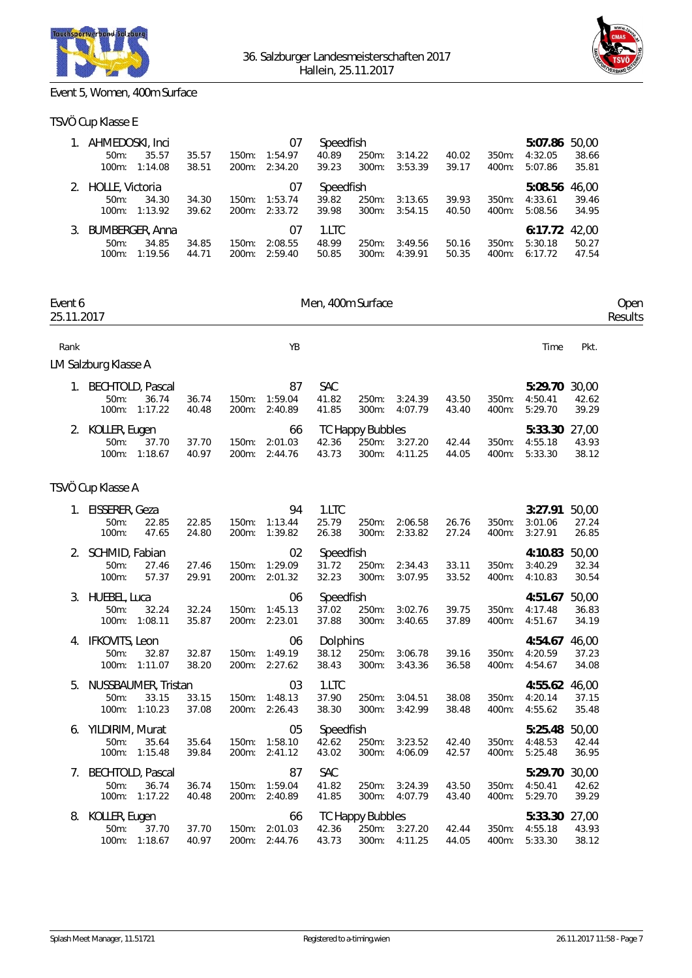



# Event 5, Women, 400m Surface

### TSVÖ Cup Klasse E

|    | AHMEDOSKI, Inci<br>$50m$ :<br>$100m$ :        | 35.57<br>1:14.08 | 35.57<br>38.51 | 150m:             | 07<br>1:54.97<br>200m: 2:34.20 | Speedfish<br>40.89<br>39.23 | 250m:<br>$300m$ : | 3:14.22<br>3:53.39 | 40.02<br>39.17 | $350m$ :<br>$400m$ : | 5:07.86<br>4:32.05<br>5:07.86 | 50.00<br>38.66<br>35.81 |
|----|-----------------------------------------------|------------------|----------------|-------------------|--------------------------------|-----------------------------|-------------------|--------------------|----------------|----------------------|-------------------------------|-------------------------|
| 2. | HOLLE, Victoria<br>$50m$ :<br>$100m$ :        | 34.30<br>1:13.92 | 34.30<br>39.62 | 150m:<br>$200m$ : | 07<br>1:53.74<br>2:33.72       | Speedfish<br>39.82<br>39.98 | 250m:<br>$300m$ : | 3:13.65<br>3:54.15 | 39.93<br>40.50 | $350m$ :<br>$400m$ : | 5:08.56<br>4:33.61<br>5:08.56 | 46.00<br>39.46<br>34.95 |
|    | <b>BUMBERGER, Anna</b><br>$50m$ :<br>$100m$ : | 34.85<br>1:19.56 | 34.85<br>44.71 | 150m:<br>$200m$ : | 07<br>2:08.55<br>2:59.40       | 1.LTC<br>48.99<br>50.85     | 250m:<br>$300m$ : | 3:49.56<br>4:39.91 | 50.16<br>50.35 | $350m$ :<br>$400m$ : | 6:17.72<br>5:30.18<br>6:17.72 | 42.00<br>50.27<br>47.54 |

| Event 6<br>25.11.2017 |                                    |                                               | Men, 400m Surface |                   |                                      |                              |                                           |                          |                |                |                                     |                         |  |
|-----------------------|------------------------------------|-----------------------------------------------|-------------------|-------------------|--------------------------------------|------------------------------|-------------------------------------------|--------------------------|----------------|----------------|-------------------------------------|-------------------------|--|
| Rank                  |                                    |                                               |                   |                   | YB                                   |                              |                                           |                          |                |                | Time                                | Pkt.                    |  |
|                       | LM Salzburg Klasse A               |                                               |                   |                   |                                      |                              |                                           |                          |                |                |                                     |                         |  |
|                       | 1. BECHTOLD, Pascal<br>50m:        | 36.74<br>100m: 1:17.22                        | 36.74<br>40.48    | 200m:             | 87<br>150m: 1:59.04<br>2:40.89       | <b>SAC</b><br>41.82<br>41.85 | 250m:<br>300m:                            | 3:24.39<br>4:07.79       | 43.50<br>43.40 | 350m:<br>400m: | 5:29.70 30,00<br>4:50.41<br>5:29.70 | 42.62<br>39.29          |  |
|                       | 2. KOLLER, Eugen<br>50m:           | 37.70<br>100m: 1:18.67                        | 37.70<br>40.97    |                   | 66<br>150m: 2:01.03<br>200m: 2:44.76 | 42.36<br>43.73               | <b>TC Happy Bubbles</b><br>250m:<br>300m: | 3:27.20<br>4:11.25       | 42.44<br>44.05 | 350m:<br>400m: | 5:33.30<br>4:55.18<br>5:33.30       | 27,00<br>43.93<br>38.12 |  |
|                       | TSVÖ Cup Klasse A                  |                                               |                   |                   |                                      |                              |                                           |                          |                |                |                                     |                         |  |
| 1.                    | EISSERER, Geza<br>$50m$ :<br>100m: | 22.85<br>47.65                                | 22.85<br>24.80    | $150m$ :<br>200m: | 94<br>1:13.44<br>1:39.82             | 1.LTC<br>25.79<br>26.38      | 250m:<br>$300m$ :                         | 2:06.58<br>2:33.82       | 26.76<br>27.24 | 350m:<br>400m: | 3:27.91<br>3:01.06<br>3:27.91       | 50,00<br>27.24<br>26.85 |  |
| 2.                    | SCHMID, Fabian<br>$50m$ :<br>100m: | 27.46<br>57.37                                | 27.46<br>29.91    | $150m$ :          | 02<br>1:29.09<br>200m: 2:01.32       | Speedfish<br>31.72<br>32.23  | 250m:<br>300m:                            | 2:34.43<br>3:07.95       | 33.11<br>33.52 | 350m:<br>400m: | 4:10.83<br>3:40.29<br>4:10.83       | 50,00<br>32.34<br>30.54 |  |
| 3.                    | HUEBEL, Luca<br>50m:               | 32.24<br>100m: 1:08.11                        | 32.24<br>35.87    | 150m:             | 06<br>1:45.13<br>200m: 2:23.01       | Speedfish<br>37.02<br>37.88  | 250m:<br>300m:                            | 3:02.76<br>3:40.65       | 39.75<br>37.89 | 350m:<br>400m: | 4:51.67<br>4:17.48<br>4:51.67       | 50,00<br>36.83<br>34.19 |  |
| 4.                    | IFKOVITS, Leon<br>$50m$ :          | 32.87<br>100m: 1:11.07                        | 32.87<br>38.20    | 150m:             | 06<br>1:49.19<br>200m: 2:27.62       | Dolphins<br>38.12<br>38.43   | 250m:<br>300m:                            | 3:06.78<br>3:43.36       | 39.16<br>36.58 | 350m:<br>400m: | 4:54.67<br>4:20.59<br>4:54.67       | 46,00<br>37.23<br>34.08 |  |
| 5.                    | $50m$ :                            | NUSSBAUMER, Tristan<br>33.15<br>100m: 1:10.23 | 33.15<br>37.08    | 150m:             | 03<br>1:48.13<br>200m: 2:26.43       | 1.LTC<br>37.90<br>38.30      | 250m:<br>300m:                            | 3:04.51<br>3:42.99       | 38.08<br>38.48 | 350m:<br>400m: | 4:55.62 46,00<br>4:20.14<br>4:55.62 | 37.15<br>35.48          |  |
| 6.                    | YILDIRIM, Murat<br>$50m$ :         | 35.64<br>100m: 1:15.48                        | 35.64<br>39.84    | 150m:             | 05<br>1:58.10<br>200m: 2:41.12       | Speedfish<br>42.62<br>43.02  | 250m:<br>$300m$ :                         | 3:23.52<br>4:06.09       | 42.40<br>42.57 | 350m:<br>400m: | 5:25.48<br>4:48.53<br>5:25.48       | 50,00<br>42.44<br>36.95 |  |
|                       | 7. BECHTOLD, Pascal<br>$50m$ :     | 36.74<br>100m: 1:17.22                        | 36.74<br>40.48    | 150m:             | 87<br>1:59.04<br>200m: 2:40.89       | <b>SAC</b><br>41.82<br>41.85 | 250m:                                     | 3:24.39<br>300m: 4:07.79 | 43.50<br>43.40 | 350m:<br>400m: | 5:29.70<br>4:50.41<br>5:29.70       | 30,00<br>42.62<br>39.29 |  |
| 8.                    | KOLLER, Eugen<br>$50m$ :           | 37.70<br>100m: 1:18.67                        | 37.70<br>40.97    | $150m$ :          | 66<br>2:01.03<br>200m: 2:44.76       | 42.36<br>43.73               | <b>TC Happy Bubbles</b><br>250m:          | 3:27.20<br>300m: 4:11.25 | 42.44<br>44.05 | 350m:<br>400m: | 5:33.30 27,00<br>4:55.18<br>5:33.30 | 43.93<br>38.12          |  |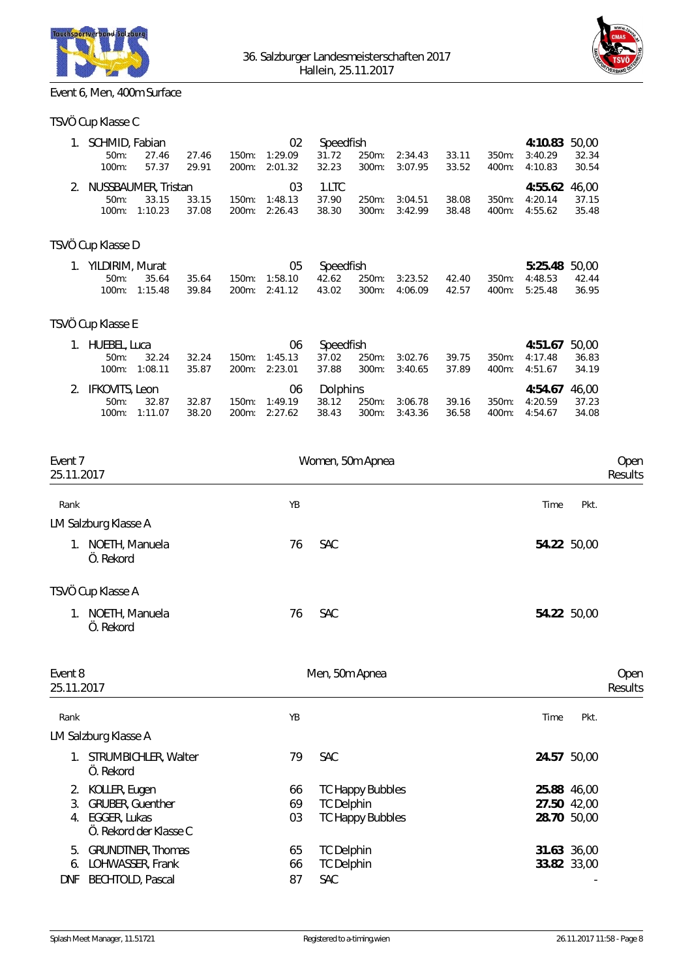



# Event 6, Men, 400m Surface

### TSVÖ Cup Klasse C

| 1. SCHMID, Fabian<br>$50m$ :<br>$100m$ : | 27.46<br>57.37 | 27.46<br>29.91 | $150m$ : | 02<br>1:29.09<br>200m: 2:01.32 | Speedfish<br>31.72<br>32.23 | 250m: | 2:34.43<br>300m: 3:07.95 | 33.11<br>33.52 | 350m: | 4:10.83 50.00<br>3:40.29<br>400m: 4:10.83 | 32.34<br>30.54 |
|------------------------------------------|----------------|----------------|----------|--------------------------------|-----------------------------|-------|--------------------------|----------------|-------|-------------------------------------------|----------------|
| 2. NUSSBAUMER, Tristan                   |                |                |          | 03                             | $1.1$ TC                    |       |                          |                |       | 4:55.62 46.00                             |                |
| $50m$ :                                  | 33.15          | 33.15          | 150m:    | 1:48.13                        | 37.90                       | 250m: | 3:04.51                  | 38.08          | 350m: | 4:20.14                                   | - 37.15        |
| $100m$ :                                 | 1:10.23        | 37.08          |          | 200m: 2:26.43                  | 38.30                       |       | 300m: 3:42.99            | 38.48          | 400m: | 4:55.62                                   | 35.48          |

## TSVÖ Cup Klasse D

| 1. YILDIRIM, Murat | 05 Speedfish     |  | 5:25.48 50.00 |  |  |  |  |                                                                                 |  |
|--------------------|------------------|--|---------------|--|--|--|--|---------------------------------------------------------------------------------|--|
|                    | 50m: 35.64 35.64 |  |               |  |  |  |  | 150m: 1:58.10  42.62  250m: 3:23.52  42.40  350m: 4:48.53  42.44                |  |
|                    |                  |  |               |  |  |  |  | 100m: 1:15.48 39.84 200m: 2:41.12 43.02 300m: 4:06.09 42.57 400m: 5:25.48 36.95 |  |

## TSVÖ Cup Klasse E

| 1. HUEBEL, Luca   |         |       |          | 06            | Speedfish |       |         |       |          | 4:51.67 50.00 |       |
|-------------------|---------|-------|----------|---------------|-----------|-------|---------|-------|----------|---------------|-------|
| $50m$ :           | 32.24   | 32.24 | $150m$ : | 1:45.13       | 37.02     | 250m: | 3:02.76 | 39.75 | $350m$ : | 4:17.48       | 36.83 |
| $100m$ :          | 1:08.11 | 35.87 |          | 200m: 2:23.01 | 37.88     | 300m: | 3:40.65 | 37.89 | 400m:    | 4:51.67       | 34.19 |
|                   |         |       |          |               |           |       |         |       |          |               |       |
| 2. IFKOVITS, Leon |         |       |          | 06            | Dolphins  |       |         |       |          | 4:54.67 46.00 |       |
| $50m$ :           | 32.87   | 32.87 |          | 150m: 1:49.19 | 38.12     | 250m: | 3:06.78 | 39.16 | $350m$ : | 4:20.59       | 37.23 |

| Event 7<br>25.11.2017             | Women, 50m Apnea | Open<br>Results |
|-----------------------------------|------------------|-----------------|
| Rank                              | YB               | Time<br>Pkt.    |
| LM Salzburg Klasse A              |                  |                 |
| NOETH, Manuela<br>1.<br>Ö. Rekord | 76<br>SAC        | 54.22 50,00     |
| TSVÖ Cup Klasse A                 |                  |                 |
| NOETH, Manuela<br>1.<br>Ö. Rekord | SAC<br>76        | 54.22 50,00     |
| Event 8<br>25.11.2017             | Men, 50m Apnea   | Open<br>Results |

| Rank                   |                                                                                     | YB             |                                                                         | Time                                      | Pkt. |
|------------------------|-------------------------------------------------------------------------------------|----------------|-------------------------------------------------------------------------|-------------------------------------------|------|
|                        | LM Salzburg Klasse A                                                                |                |                                                                         |                                           |      |
|                        | STRUMBICHLER, Walter<br>Ö. Rekord                                                   | 79             | <b>SAC</b>                                                              | 24.57 50.00                               |      |
| 2.<br>3.<br>4.         | KOLLER, Eugen<br><b>GRUBER, Guenther</b><br>EGGER, Lukas<br>Ö. Rekord der Klasse C. | 66<br>69<br>03 | <b>TC Happy Bubbles</b><br><b>TC Delphin</b><br><b>TC Happy Bubbles</b> | 25.88 46,00<br>27.50 42,00<br>28.70 50,00 |      |
| 5.<br>6.<br><b>DNF</b> | <b>GRUNDTNER, Thomas</b><br>LOHWASSER, Frank<br><b>BECHTOLD, Pascal</b>             | 65<br>66<br>87 | <b>TC Delphin</b><br><b>TC Delphin</b><br>SAC                           | 31.63 36,00<br>33.82 33,00                |      |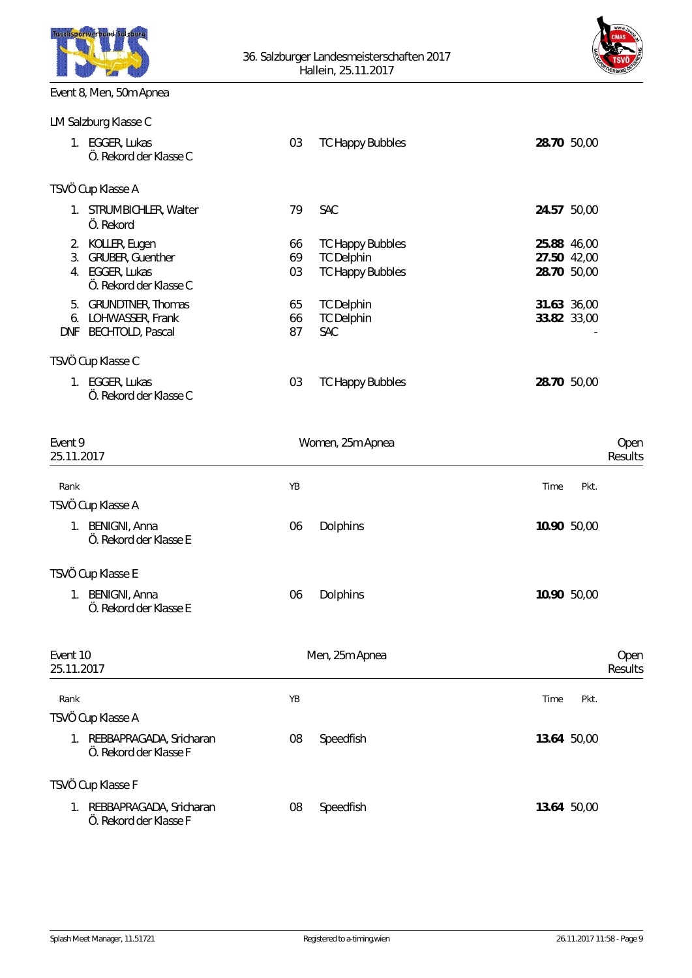



# Event 8, Men, 50m Apnea

|            | LM Salzburg Klasse C                      |    |                         |             |             |  |  |  |  |  |  |
|------------|-------------------------------------------|----|-------------------------|-------------|-------------|--|--|--|--|--|--|
|            | 1. EGGER, Lukas<br>Ö. Rekord der Klasse C | 03 | <b>TC Happy Bubbles</b> | 28.70 50,00 |             |  |  |  |  |  |  |
|            | TSVÖ Cup Klasse A                         |    |                         |             |             |  |  |  |  |  |  |
| 1.         | STRUMBICHLER, Walter<br>Ö. Rekord         | 79 | SAC                     | 24.57       | 50,00       |  |  |  |  |  |  |
| 2.         | KOLLER, Eugen                             | 66 | <b>TC Happy Bubbles</b> | 25.88 46,00 |             |  |  |  |  |  |  |
| 3.         | GRUBER, Guenther                          | 69 | <b>TC Delphin</b>       | 27.50 42,00 |             |  |  |  |  |  |  |
| 4.         | EGGER, Lukas<br>Ö. Rekord der Klasse C    | 03 | <b>TC Happy Bubbles</b> | 28.70       | 50,00       |  |  |  |  |  |  |
| 5.         | <b>GRUNDTNER, Thomas</b>                  | 65 | <b>TC Delphin</b>       | 31.63 36,00 |             |  |  |  |  |  |  |
| 6.         | LOHWASSER, Frank                          | 66 | <b>TC Delphin</b>       |             | 33.82 33,00 |  |  |  |  |  |  |
| <b>DNF</b> | <b>BECHTOLD, Pascal</b>                   | 87 | <b>SAC</b>              |             |             |  |  |  |  |  |  |
|            | TSVÖ Cup Klasse C                         |    |                         |             |             |  |  |  |  |  |  |
| 1.         | EGGER, Lukas<br>Ö. Rekord der Klasse C    | 03 | <b>TC Happy Bubbles</b> | 28.70 50,00 |             |  |  |  |  |  |  |

| Event 9<br>25.11.2017                                            | Women, 25m Apnea | Open<br>Results |
|------------------------------------------------------------------|------------------|-----------------|
| Rank                                                             | YB               | Time<br>Pkt.    |
| TSVÖ Cup Klasse A                                                |                  |                 |
| <b>BENIGNI, Anna</b><br>1.<br>Ö. Rekord der Klasse E             | Dolphins<br>06   | 10.90 50,00     |
| TSVÖ Cup Klasse E                                                |                  |                 |
| BENIGNI, Anna<br>$1_{\cdot}$<br>Ö. Rekord der Klasse E           | Dolphins<br>06   | 10.90 50,00     |
| Event 10<br>25.11.2017                                           | Men, 25m Apnea   | Open<br>Results |
| Rank                                                             | YB               | Time<br>Pkt.    |
| TSVÖ Cup Klasse A                                                |                  |                 |
| REBBAPRAGADA, Sricharan<br>$1_{\cdot}$<br>Ö. Rekord der Klasse F | 08<br>Speedfish  | 13.64 50,00     |
| TSVÖ Cup Klasse F                                                |                  |                 |
| 1. REBBAPRAGADA, Sricharan<br>Ö. Rekord der Klasse F             | 08<br>Speedfish  | 13.64 50,00     |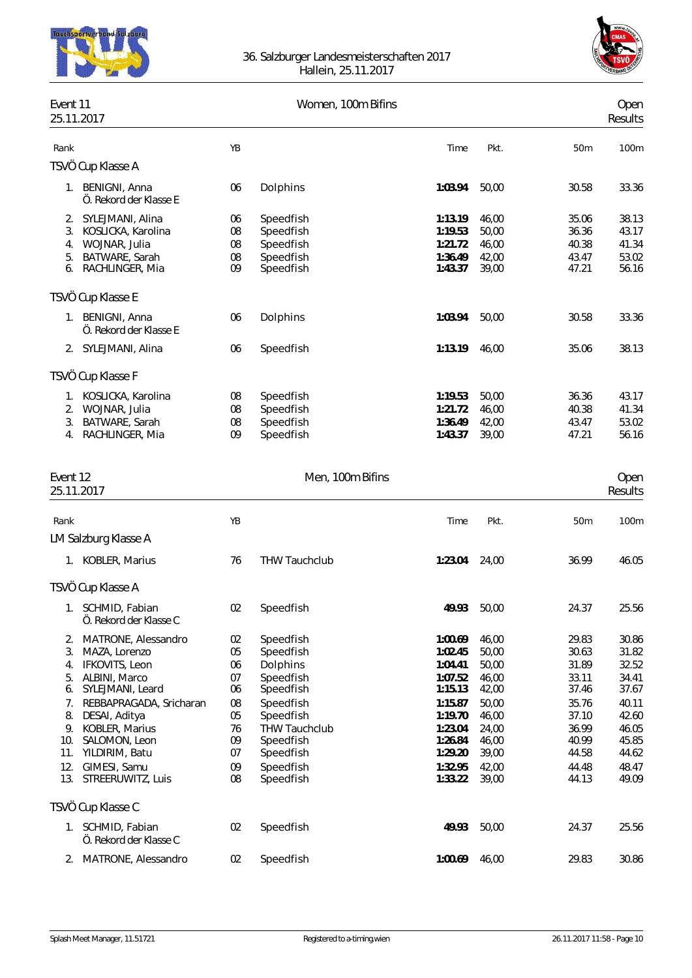



| Event 11<br>25.11.2017 |                                             |          | Women, 100m Bifins                |                    |                |                | Open<br>Results |
|------------------------|---------------------------------------------|----------|-----------------------------------|--------------------|----------------|----------------|-----------------|
| Rank                   |                                             | YB       |                                   | Time               | Pkt.           | 50m            | 100m            |
|                        | TSVÖ Cup Klasse A                           |          |                                   |                    |                |                |                 |
|                        |                                             |          |                                   |                    |                |                |                 |
|                        | 1. BENIGNI, Anna<br>Ö. Rekord der Klasse E  | 06       | Dolphins                          | 1:03.94            | 50,00          | 30.58          | 33.36           |
| 2.                     | SYLEJMANI, Alina                            | 06       | Speedfish                         | 1:13.19            | 46,00          | 35.06          | 38.13           |
| 3.                     | KOSLICKA, Karolina                          | 08       | Speedfish                         | 1:19.53            | 50,00          | 36.36          | 43.17           |
| 4.                     | WOJNAR, Julia                               | 08       | Speedfish                         | 1:21.72            | 46,00          | 40.38          | 41.34           |
| 5.<br>6.               | BATWARE, Sarah<br>RACHLINGER, Mia           | 08<br>09 | Speedfish<br>Speedfish            | 1:36.49<br>1:43.37 | 42,00<br>39,00 | 43.47<br>47.21 | 53.02<br>56.16  |
|                        |                                             |          |                                   |                    |                |                |                 |
|                        | TSVÖ Cup Klasse E                           |          |                                   |                    |                |                |                 |
|                        | 1. BENIGNI, Anna<br>Ö. Rekord der Klasse E  | 06       | Dolphins                          | 1:03.94            | 50,00          | 30.58          | 33.36           |
|                        | 2. SYLEJMANI, Alina                         | 06       | Speedfish                         | 1:13.19            | 46,00          | 35.06          | 38.13           |
|                        | TSVÖ Cup Klasse F                           |          |                                   |                    |                |                |                 |
| 1.                     | KOSLICKA, Karolina                          | 08       | Speedfish                         | 1:19.53            | 50,00          | 36.36          | 43.17           |
|                        | 2. WOJNAR, Julia                            | 08       | Speedfish                         | 1:21.72            | 46,00          | 40.38          | 41.34           |
| 3.                     | BATWARE, Sarah                              | 08       | Speedfish                         | 1:36.49            | 42,00          | 43.47          | 53.02           |
|                        | 4. RACHLINGER, Mia                          | 09       | Speedfish                         | 1:43.37            | 39,00          | 47.21          | 56.16           |
| Event 12               |                                             |          | Men, 100m Bifins                  |                    |                |                | Open            |
| 25.11.2017             |                                             |          |                                   |                    |                |                | Results         |
| Rank                   |                                             | YB       |                                   | Time               | Pkt.           | 50m            | 100m            |
|                        | LM Salzburg Klasse A                        |          |                                   |                    |                |                |                 |
|                        | 1. KOBLER, Marius                           | 76       | THW Tauchclub                     | 1:23.04            | 24,00          | 36.99          | 46.05           |
|                        | TSVÖ Cup Klasse A                           |          |                                   |                    |                |                |                 |
|                        | 1. SCHMID, Fabian<br>Ö. Rekord der Klasse C |          | 02 Speedfish                      |                    | 49.93 50,00    | 24.37          | 25.56           |
| 2.                     | MATRONE, Alessandro                         | 02       | Speedfish                         | 1:00.69            | 46,00          | 29.83          | 30.86           |
| 3.                     | MAZA, Lorenzo                               | 05       | Speedfish                         | 1:02.45            | 50,00          | 30.63          | 31.82           |
| 4.                     | IFKOVITS, Leon                              | 06       | Dolphins                          | 1:04.41            | 50,00          | 31.89          | 32.52           |
| 5.                     | ALBINI, Marco                               | 07       | Speedfish                         | 1:07.52            | 46,00          | 33.11          | 34.41           |
| 6.                     | SYLEJMANI, Leard                            | 06       | Speedfish                         | 1:15.13            | 42,00          | 37.46          | 37.67           |
| 7.                     | REBBAPRAGADA, Sricharan                     | 08       | Speedfish                         | 1:15.87            | 50,00          | 35.76          | 40.11           |
| 8.                     | DESAI, Aditya                               | 05       | Speedfish<br><b>THW Tauchclub</b> | 1:19.70<br>1:23.04 | 46,00          | 37.10          | 42.60           |
| 9.<br>10.              | KOBLER, Marius<br>SALOMON, Leon             | 76<br>09 | Speedfish                         | 1:26.84            | 24,00<br>46,00 | 36.99<br>40.99 | 46.05<br>45.85  |
|                        | 11. YILDIRIM, Batu                          | 07       | Speedfish                         | 1:29.20            | 39,00          | 44.58          | 44.62           |
| 12.                    | GIMESI, Samu                                | 09       | Speedfish                         | 1:32.95            | 42,00          | 44.48          | 48.47           |
| 13.                    | STREERUWITZ, Luis                           | 08       | Speedfish                         | 1:33.22            | 39,00          | 44.13          | 49.09           |
|                        | TSVÖ Cup Klasse C                           |          |                                   |                    |                |                |                 |
|                        | 1. SCHMID, Fabian<br>Ö. Rekord der Klasse C | 02       | Speedfish                         | 49.93              | 50,00          | 24.37          | 25.56           |
|                        | 2. MATRONE, Alessandro                      | 02       | Speedfish                         | 1:00.69            | 46,00          | 29.83          | 30.86           |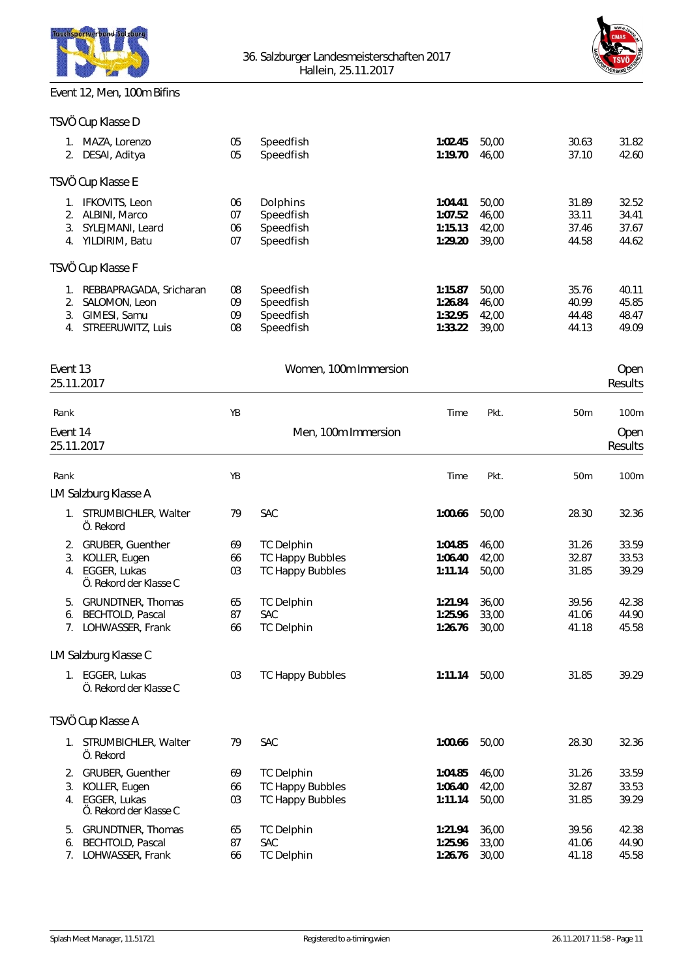

### Event 12, Men, 100m Bifins



|          | TSVÖ Cup Klasse D              |          |                        |                    |                |                |                |
|----------|--------------------------------|----------|------------------------|--------------------|----------------|----------------|----------------|
| 1.<br>2. | MAZA, Lorenzo<br>DESAI, Aditya | 05<br>05 | Speedfish<br>Speedfish | 1:02.45<br>1:19.70 | 50,00<br>46,00 | 30.63<br>37.10 | 31.82<br>42.60 |
|          | TSVÖ Cup Klasse E              |          |                        |                    |                |                |                |
| 1.       | IFKOVITS, Leon                 | 06       | Dolphins               | 1:04.41            | 50,00          | 31.89          | 32.52          |
| 2.       | ALBINI, Marco                  | 07       | Speedfish              | 1:07.52            | 46,00          | 33.11          | 34.41          |
| 3.       | SYLEJMANI, Leard               | 06       | Speedfish              | 1:15.13            | 42,00          | 37.46          | 37.67          |
| 4.       | YILDIRIM, Batu                 | 07       | Speedfish              | 1:29.20            | 39,00          | 44.58          | 44.62          |
|          | TSVÖ Cup Klasse F              |          |                        |                    |                |                |                |
|          | REBBAPRAGADA, Sricharan        | 08       | Speedfish              | 1:15.87            | 50,00          | 35.76          | 40.11          |
| 2.       | SALOMON, Leon                  | 09       | Speedfish              | 1:26.84            | 46,00          | 40.99          | 45.85          |
| 3.       | GIMESI, Samu                   | 09       | Speedfish              | 1:32.95            | 42,00          | 44.48          | 48.47          |
| 4.       | STREERUWITZ, Luis              | 08       | Speedfish              | 1:33.22            | 39,00          | 44.13          | 49.09          |
|          |                                |          |                        |                    |                |                |                |
|          |                                |          |                        |                    |                |                |                |

| Event 13<br>25.11.2017 |                                           | Women, 100m Immersion |                         |         |       |                 | Open<br>Results |
|------------------------|-------------------------------------------|-----------------------|-------------------------|---------|-------|-----------------|-----------------|
| Rank                   |                                           | YB                    |                         | Time    | Pkt.  | 50 <sub>m</sub> | 100m            |
| Event 14<br>25.11.2017 |                                           | Men, 100m Immersion   |                         |         |       |                 | Open<br>Results |
| Rank                   |                                           | YB                    |                         | Time    | Pkt.  | 50m             | 100m            |
|                        | LM Salzburg Klasse A                      |                       |                         |         |       |                 |                 |
|                        | 1. STRUMBICHLER, Walter<br>Ö. Rekord      | 79                    | <b>SAC</b>              | 1:00.66 | 50,00 | 28.30           | 32.36           |
| 2.                     | GRUBER, Guenther                          | 69                    | <b>TC Delphin</b>       | 1:04.85 | 46,00 | 31.26           | 33.59           |
| 3.                     | KOLLER, Eugen                             | 66                    | <b>TC Happy Bubbles</b> | 1:06.40 | 42,00 | 32.87           | 33.53           |
| 4.                     | EGGER, Lukas<br>Ö. Rekord der Klasse C    | 03                    | <b>TC Happy Bubbles</b> | 1:11.14 | 50,00 | 31.85           | 39.29           |
| 5.                     | GRUNDTNER, Thomas                         | 65                    | <b>TC Delphin</b>       | 1:21.94 | 36,00 | 39.56           | 42.38           |
| 6.                     | <b>BECHTOLD, Pascal</b>                   | 87                    | SAC                     | 1:25.96 | 33,00 | 41.06           | 44.90           |
|                        | 7. LOHWASSER, Frank                       | 66                    | <b>TC Delphin</b>       | 1:26.76 | 30,00 | 41.18           | 45.58           |
|                        | LM Salzburg Klasse C                      |                       |                         |         |       |                 |                 |
|                        | 1. EGGER, Lukas<br>Ö. Rekord der Klasse C | 03                    | <b>TC Happy Bubbles</b> | 1:11.14 | 50,00 | 31.85           | 39.29           |
|                        | TSVÖ Cup Klasse A                         |                       |                         |         |       |                 |                 |
|                        | 1. STRUMBICHLER, Walter<br>Ö. Rekord      | 79                    | <b>SAC</b>              | 1:00.66 | 50,00 | 28.30           | 32.36           |
| 2.                     | GRUBER, Guenther                          | 69                    | <b>TC Delphin</b>       | 1:04.85 | 46,00 | 31.26           | 33.59           |
| 3.                     | KOLLER, Eugen                             | 66                    | <b>TC Happy Bubbles</b> | 1:06.40 | 42,00 | 32.87           | 33.53           |
| 4.                     | EGGER, Lukas<br>Ö. Rekord der Klasse C    | 03                    | <b>TC Happy Bubbles</b> | 1:11.14 | 50,00 | 31.85           | 39.29           |
| 5.                     | GRUNDTNER, Thomas                         | 65                    | <b>TC Delphin</b>       | 1:21.94 | 36,00 | 39.56           | 42.38           |
| 6.                     | <b>BECHTOLD, Pascal</b>                   | 87                    | <b>SAC</b>              | 1:25.96 | 33,00 | 41.06           | 44.90           |
| 7.                     | LOHWASSER, Frank                          | 66                    | <b>TC Delphin</b>       | 1:26.76 | 30,00 | 41.18           | 45.58           |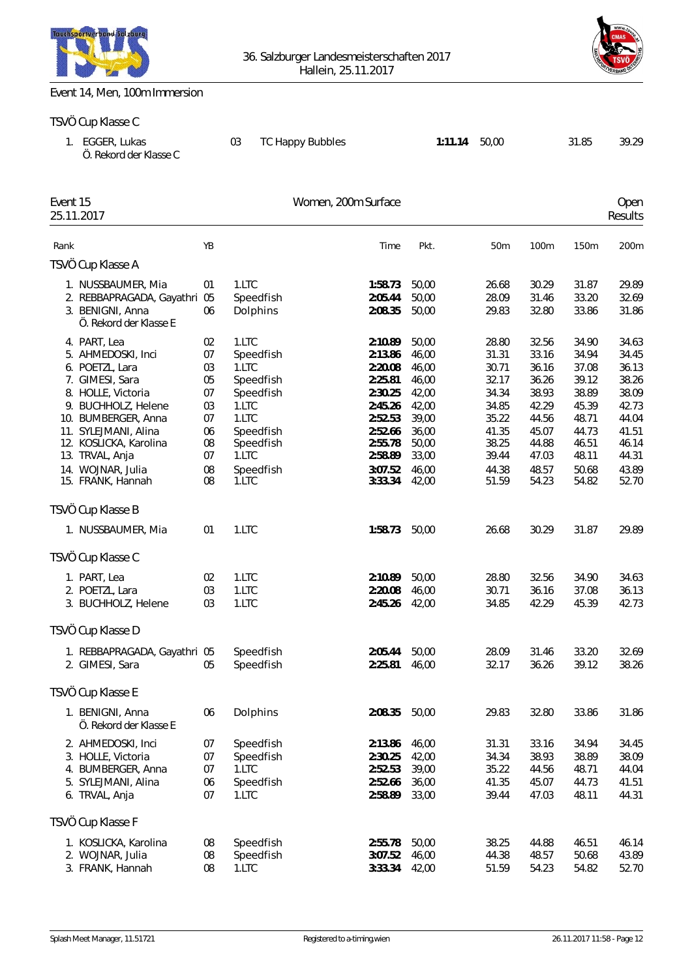



#### Event 14, Men, 100m Immersion

#### TSVÖ Cup Klasse C

|          | 1. EGGER, Lukas<br>Ö. Rekord der Klasse C                                                                                                                                                                                                                   |                                                                      | 03                                                                                                                               | TC Happy Bubbles                                                                                                                 | 1:11.14                                                                                                  | 50,00                                                                                                    |                                                                                                          | 31.85                                                                                                    | 39.29                                                                                                    |
|----------|-------------------------------------------------------------------------------------------------------------------------------------------------------------------------------------------------------------------------------------------------------------|----------------------------------------------------------------------|----------------------------------------------------------------------------------------------------------------------------------|----------------------------------------------------------------------------------------------------------------------------------|----------------------------------------------------------------------------------------------------------|----------------------------------------------------------------------------------------------------------|----------------------------------------------------------------------------------------------------------|----------------------------------------------------------------------------------------------------------|----------------------------------------------------------------------------------------------------------|
| Event 15 | 25.11.2017                                                                                                                                                                                                                                                  |                                                                      |                                                                                                                                  | Women, 200m Surface                                                                                                              |                                                                                                          |                                                                                                          |                                                                                                          |                                                                                                          | Open<br>Results                                                                                          |
| Rank     |                                                                                                                                                                                                                                                             | YB                                                                   |                                                                                                                                  | Time                                                                                                                             | Pkt.                                                                                                     | 50m                                                                                                      | 100m                                                                                                     | 150m                                                                                                     | 200m                                                                                                     |
|          | TSVÖ Cup Klasse A                                                                                                                                                                                                                                           |                                                                      |                                                                                                                                  |                                                                                                                                  |                                                                                                          |                                                                                                          |                                                                                                          |                                                                                                          |                                                                                                          |
|          | 1. NUSSBAUMER, Mia<br>2. REBBAPRAGADA, Gayathri 05<br>3. BENIGNI, Anna<br>Ö. Rekord der Klasse E                                                                                                                                                            | 01<br>06                                                             | 1.LTC<br>Speedfish<br>Dolphins                                                                                                   | 1:58.73<br>2:05.44<br>2:08.35                                                                                                    | 50,00<br>50,00<br>50,00                                                                                  | 26.68<br>28.09<br>29.83                                                                                  | 30.29<br>31.46<br>32.80                                                                                  | 31.87<br>33.20<br>33.86                                                                                  | 29.89<br>32.69<br>31.86                                                                                  |
|          | 4. PART, Lea<br>5. AHMEDOSKI, Inci<br>6. POETZL, Lara<br>7. GIMESI, Sara<br>8. HOLLE, Victoria<br>9. BUCHHOLZ, Helene<br>10. BUMBERGER, Anna<br>11. SYLEJMANI, Alina<br>12. KOSLICKA, Karolina<br>13. TRVAL, Anja<br>14. WOJNAR, Julia<br>15. FRANK, Hannah | 02<br>07<br>03<br>05<br>07<br>03<br>07<br>06<br>08<br>07<br>08<br>08 | 1.LTC<br>Speedfish<br>1.LTC<br>Speedfish<br>Speedfish<br>1.LTC<br>1.LTC<br>Speedfish<br>Speedfish<br>1.LTC<br>Speedfish<br>1.LTC | 2:10.89<br>2:13.86<br>2:20.08<br>2:25.81<br>2:30.25<br>2:45.26<br>2:52.53<br>2:52.66<br>2:55.78<br>2:58.89<br>3:07.52<br>3:33.34 | 50,00<br>46,00<br>46,00<br>46,00<br>42,00<br>42,00<br>39,00<br>36,00<br>50,00<br>33,00<br>46,00<br>42,00 | 28.80<br>31.31<br>30.71<br>32.17<br>34.34<br>34.85<br>35.22<br>41.35<br>38.25<br>39.44<br>44.38<br>51.59 | 32.56<br>33.16<br>36.16<br>36.26<br>38.93<br>42.29<br>44.56<br>45.07<br>44.88<br>47.03<br>48.57<br>54.23 | 34.90<br>34.94<br>37.08<br>39.12<br>38.89<br>45.39<br>48.71<br>44.73<br>46.51<br>48.11<br>50.68<br>54.82 | 34.63<br>34.45<br>36.13<br>38.26<br>38.09<br>42.73<br>44.04<br>41.51<br>46.14<br>44.31<br>43.89<br>52.70 |
|          | TSVÖ Cup Klasse B                                                                                                                                                                                                                                           |                                                                      |                                                                                                                                  |                                                                                                                                  |                                                                                                          |                                                                                                          |                                                                                                          |                                                                                                          |                                                                                                          |
|          | 1. NUSSBAUMER, Mia                                                                                                                                                                                                                                          | 01                                                                   | 1.LTC                                                                                                                            | 1:58.73                                                                                                                          | 50,00                                                                                                    | 26.68                                                                                                    | 30.29                                                                                                    | 31.87                                                                                                    | 29.89                                                                                                    |
|          | TSVÖ Cup Klasse C                                                                                                                                                                                                                                           |                                                                      |                                                                                                                                  |                                                                                                                                  |                                                                                                          |                                                                                                          |                                                                                                          |                                                                                                          |                                                                                                          |
|          | 1. PART, Lea<br>2. POETZL, Lara<br>3. BUCHHOLZ, Helene                                                                                                                                                                                                      | 02<br>03<br>03                                                       | 1.LTC<br>1.LTC<br>1.LTC                                                                                                          | 2:10.89<br>2:20.08<br>2:45.26                                                                                                    | 50,00<br>46,00<br>42,00                                                                                  | 28.80<br>30.71<br>34.85                                                                                  | 32.56<br>36.16<br>42.29                                                                                  | 34.90<br>37.08<br>45.39                                                                                  | 34.63<br>36.13<br>42.73                                                                                  |
|          | TSVÖ Cup Klasse D                                                                                                                                                                                                                                           |                                                                      |                                                                                                                                  |                                                                                                                                  |                                                                                                          |                                                                                                          |                                                                                                          |                                                                                                          |                                                                                                          |
|          | 1. REBBAPRAGADA, Gayathri 05<br>2. GIMESI, Sara                                                                                                                                                                                                             | 05                                                                   | Speedfish<br>Speedfish                                                                                                           | 2:05.44<br>2:25.81                                                                                                               | 50,00<br>46,00                                                                                           | 28.09<br>32.17                                                                                           | 31.46<br>36.26                                                                                           | 33.20<br>39.12                                                                                           | 32.69<br>38.26                                                                                           |
|          | TSVÖ Cup Klasse E                                                                                                                                                                                                                                           |                                                                      |                                                                                                                                  |                                                                                                                                  |                                                                                                          |                                                                                                          |                                                                                                          |                                                                                                          |                                                                                                          |
|          | 1. BENIGNI, Anna<br>Ö. Rekord der Klasse E                                                                                                                                                                                                                  | 06                                                                   | Dolphins                                                                                                                         | 2:08.35                                                                                                                          | 50,00                                                                                                    | 29.83                                                                                                    | 32.80                                                                                                    | 33.86                                                                                                    | 31.86                                                                                                    |
|          | 2. AHMEDOSKI, Inci<br>3. HOLLE, Victoria<br>4. BUMBERGER, Anna<br>5. SYLEJMANI, Alina<br>6. TRVAL, Anja                                                                                                                                                     | 07<br>07<br>07<br>06<br>07                                           | Speedfish<br>Speedfish<br>1.LTC<br>Speedfish<br>1.LTC                                                                            | 2:13.86<br>2:30.25<br>2:52.53<br>2:52.66<br>2:58.89                                                                              | 46,00<br>42,00<br>39,00<br>36,00<br>33,00                                                                | 31.31<br>34.34<br>35.22<br>41.35<br>39.44                                                                | 33.16<br>38.93<br>44.56<br>45.07<br>47.03                                                                | 34.94<br>38.89<br>48.71<br>44.73<br>48.11                                                                | 34.45<br>38.09<br>44.04<br>41.51<br>44.31                                                                |
|          | TSVÖ Cup Klasse F                                                                                                                                                                                                                                           |                                                                      |                                                                                                                                  |                                                                                                                                  |                                                                                                          |                                                                                                          |                                                                                                          |                                                                                                          |                                                                                                          |
|          | 1. KOSLICKA, Karolina                                                                                                                                                                                                                                       | 08                                                                   | Speedfish                                                                                                                        | 2:55.78                                                                                                                          | 50,00                                                                                                    | 38.25<br>$\Omega$                                                                                        | 44.88                                                                                                    | 46.51<br>ro 10                                                                                           | 46.14<br>1200                                                                                            |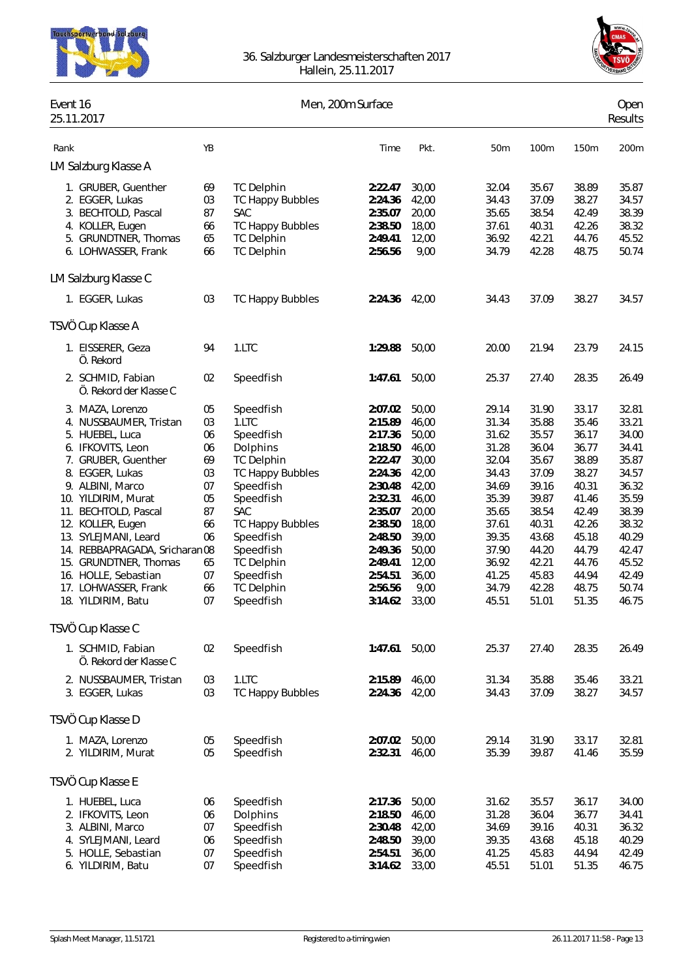



| Event 16 | 25.11.2017                                                                                                                                                                                                                                                                                                                                                                                                                                                                  |                                                                                                    |                                                                                                                                                                                                                                                                      | Men, 200m Surface                                                                                                                                                                                  |                                                                                                                                                               |                                                                                                                                                                |                                                                                                                                                                |                                                                                                                                                                | Open<br>Results                                                                                                                                                |
|----------|-----------------------------------------------------------------------------------------------------------------------------------------------------------------------------------------------------------------------------------------------------------------------------------------------------------------------------------------------------------------------------------------------------------------------------------------------------------------------------|----------------------------------------------------------------------------------------------------|----------------------------------------------------------------------------------------------------------------------------------------------------------------------------------------------------------------------------------------------------------------------|----------------------------------------------------------------------------------------------------------------------------------------------------------------------------------------------------|---------------------------------------------------------------------------------------------------------------------------------------------------------------|----------------------------------------------------------------------------------------------------------------------------------------------------------------|----------------------------------------------------------------------------------------------------------------------------------------------------------------|----------------------------------------------------------------------------------------------------------------------------------------------------------------|----------------------------------------------------------------------------------------------------------------------------------------------------------------|
| Rank     |                                                                                                                                                                                                                                                                                                                                                                                                                                                                             | YB                                                                                                 |                                                                                                                                                                                                                                                                      | Time                                                                                                                                                                                               | Pkt.                                                                                                                                                          | 50m                                                                                                                                                            | 100m                                                                                                                                                           | 150m                                                                                                                                                           | 200m                                                                                                                                                           |
|          | LM Salzburg Klasse A                                                                                                                                                                                                                                                                                                                                                                                                                                                        |                                                                                                    |                                                                                                                                                                                                                                                                      |                                                                                                                                                                                                    |                                                                                                                                                               |                                                                                                                                                                |                                                                                                                                                                |                                                                                                                                                                |                                                                                                                                                                |
|          | 1. GRUBER, Guenther<br>2. EGGER, Lukas<br>3. BECHTOLD, Pascal<br>4. KOLLER, Eugen<br>5. GRUNDTNER, Thomas<br>6. LOHWASSER, Frank                                                                                                                                                                                                                                                                                                                                            | 69<br>03<br>87<br>66<br>65<br>66                                                                   | <b>TC Delphin</b><br><b>TC Happy Bubbles</b><br><b>SAC</b><br><b>TC Happy Bubbles</b><br><b>TC Delphin</b><br><b>TC Delphin</b>                                                                                                                                      | 2:22.47<br>2:24.36<br>2:35.07<br>2:38.50<br>2:49.41<br>2:56.56                                                                                                                                     | 30,00<br>42,00<br>20,00<br>18,00<br>12,00<br>9,00                                                                                                             | 32.04<br>34.43<br>35.65<br>37.61<br>36.92<br>34.79                                                                                                             | 35.67<br>37.09<br>38.54<br>40.31<br>42.21<br>42.28                                                                                                             | 38.89<br>38.27<br>42.49<br>42.26<br>44.76<br>48.75                                                                                                             | 35.87<br>34.57<br>38.39<br>38.32<br>45.52<br>50.74                                                                                                             |
|          | LM Salzburg Klasse C                                                                                                                                                                                                                                                                                                                                                                                                                                                        |                                                                                                    |                                                                                                                                                                                                                                                                      |                                                                                                                                                                                                    |                                                                                                                                                               |                                                                                                                                                                |                                                                                                                                                                |                                                                                                                                                                |                                                                                                                                                                |
|          | 1. EGGER, Lukas                                                                                                                                                                                                                                                                                                                                                                                                                                                             | 03                                                                                                 | <b>TC Happy Bubbles</b>                                                                                                                                                                                                                                              | 2:24.36                                                                                                                                                                                            | 42,00                                                                                                                                                         | 34.43                                                                                                                                                          | 37.09                                                                                                                                                          | 38.27                                                                                                                                                          | 34.57                                                                                                                                                          |
|          | TSVÖ Cup Klasse A                                                                                                                                                                                                                                                                                                                                                                                                                                                           |                                                                                                    |                                                                                                                                                                                                                                                                      |                                                                                                                                                                                                    |                                                                                                                                                               |                                                                                                                                                                |                                                                                                                                                                |                                                                                                                                                                |                                                                                                                                                                |
|          | 1. EISSERER, Geza<br>Ö. Rekord                                                                                                                                                                                                                                                                                                                                                                                                                                              | 94                                                                                                 | 1.LTC                                                                                                                                                                                                                                                                | 1:29.88                                                                                                                                                                                            | 50,00                                                                                                                                                         | 20.00                                                                                                                                                          | 21.94                                                                                                                                                          | 23.79                                                                                                                                                          | 24.15                                                                                                                                                          |
|          | 2. SCHMID, Fabian<br>Ö. Rekord der Klasse C                                                                                                                                                                                                                                                                                                                                                                                                                                 | 02                                                                                                 | Speedfish                                                                                                                                                                                                                                                            | 1:47.61                                                                                                                                                                                            | 50,00                                                                                                                                                         | 25.37                                                                                                                                                          | 27.40                                                                                                                                                          | 28.35                                                                                                                                                          | 26.49                                                                                                                                                          |
|          | 3. MAZA, Lorenzo<br>4. NUSSBAUMER, Tristan<br>5. HUEBEL, Luca<br>6. IFKOVITS, Leon<br>7. GRUBER, Guenther<br>8. EGGER, Lukas<br>9. ALBINI, Marco<br>10. YILDIRIM, Murat<br>11. BECHTOLD, Pascal<br>12. KOLLER, Eugen<br>13. SYLEJMANI, Leard<br>14. REBBAPRAGADA, Sricharan 08<br>15. GRUNDTNER, Thomas<br>16. HOLLE, Sebastian<br>17. LOHWASSER, Frank<br>18. YILDIRIM, Batu<br>TSVÖ Cup Klasse C<br>1. SCHMID, Fabian<br>Ö. Rekord der Klasse C<br>2. NUSSBAUMER, Tristan | 05<br>03<br>06<br>06<br>69<br>03<br>07<br>05<br>87<br>66<br>06<br>65<br>07<br>66<br>07<br>02<br>03 | Speedfish<br>1.LTC<br>Speedfish<br>Dolphins<br><b>TC Delphin</b><br><b>TC Happy Bubbles</b><br>Speedfish<br>Speedfish<br>SAC<br>TC Happy Bubbles<br>Speedfish<br>Speedfish<br><b>TC Delphin</b><br>Speedfish<br><b>TC Delphin</b><br>Speedfish<br>Speedfish<br>1.LTC | 2:07.02<br>2:15.89<br>2:17.36<br>2:18.50<br>2:22.47<br>2:24.36<br>2:30.48<br>2:32.31<br>2:35.07<br>2:38.50<br>2:48.50<br>2:49.36<br>2:49.41<br>2:54.51<br>2:56.56<br>3:14.62<br>1:47.61<br>2:15.89 | 50,00<br>46,00<br>50,00<br>46,00<br>30,00<br>42,00<br>42,00<br>46,00<br>20,00<br>18,00<br>39,00<br>50,00<br>12,00<br>36,00<br>9,00<br>33,00<br>50,00<br>46,00 | 29.14<br>31.34<br>31.62<br>31.28<br>32.04<br>34.43<br>34.69<br>35.39<br>35.65<br>37.61<br>39.35<br>37.90<br>36.92<br>41.25<br>34.79<br>45.51<br>25.37<br>31.34 | 31.90<br>35.88<br>35.57<br>36.04<br>35.67<br>37.09<br>39.16<br>39.87<br>38.54<br>40.31<br>43.68<br>44.20<br>42.21<br>45.83<br>42.28<br>51.01<br>27.40<br>35.88 | 33.17<br>35.46<br>36.17<br>36.77<br>38.89<br>38.27<br>40.31<br>41.46<br>42.49<br>42.26<br>45.18<br>44.79<br>44.76<br>44.94<br>48.75<br>51.35<br>28.35<br>35.46 | 32.81<br>33.21<br>34.00<br>34.41<br>35.87<br>34.57<br>36.32<br>35.59<br>38.39<br>38.32<br>40.29<br>42.47<br>45.52<br>42.49<br>50.74<br>46.75<br>26.49<br>33.21 |
|          | 3. EGGER, Lukas                                                                                                                                                                                                                                                                                                                                                                                                                                                             | 03                                                                                                 | <b>TC Happy Bubbles</b>                                                                                                                                                                                                                                              | 2:24.36                                                                                                                                                                                            | 42,00                                                                                                                                                         | 34.43                                                                                                                                                          | 37.09                                                                                                                                                          | 38.27                                                                                                                                                          | 34.57                                                                                                                                                          |
|          | TSVÖ Cup Klasse D<br>1. MAZA, Lorenzo                                                                                                                                                                                                                                                                                                                                                                                                                                       | 05                                                                                                 | Speedfish                                                                                                                                                                                                                                                            | 2:07.02                                                                                                                                                                                            | 50,00                                                                                                                                                         | 29.14                                                                                                                                                          | 31.90                                                                                                                                                          | 33.17                                                                                                                                                          | 32.81                                                                                                                                                          |
|          | 2. YILDIRIM, Murat                                                                                                                                                                                                                                                                                                                                                                                                                                                          | 05                                                                                                 | Speedfish                                                                                                                                                                                                                                                            | 2:32.31                                                                                                                                                                                            | 46,00                                                                                                                                                         | 35.39                                                                                                                                                          | 39.87                                                                                                                                                          | 41.46                                                                                                                                                          | 35.59                                                                                                                                                          |
|          | TSVÖ Cup Klasse E                                                                                                                                                                                                                                                                                                                                                                                                                                                           |                                                                                                    |                                                                                                                                                                                                                                                                      |                                                                                                                                                                                                    |                                                                                                                                                               |                                                                                                                                                                |                                                                                                                                                                |                                                                                                                                                                |                                                                                                                                                                |
|          | 1. HUEBEL, Luca<br>2. IFKOVITS, Leon<br>3. ALBINI, Marco<br>4. SYLEJMANI, Leard<br>5. HOLLE, Sebastian<br>6. YILDIRIM, Batu                                                                                                                                                                                                                                                                                                                                                 | 06<br>06<br>07<br>06<br>07<br>07                                                                   | Speedfish<br>Dolphins<br>Speedfish<br>Speedfish<br>Speedfish<br>Speedfish                                                                                                                                                                                            | 2:17.36<br>2:18.50<br>2:30.48<br>2:48.50<br>2:54.51<br>3:14.62                                                                                                                                     | 50,00<br>46,00<br>42,00<br>39,00<br>36,00<br>33,00                                                                                                            | 31.62<br>31.28<br>34.69<br>39.35<br>41.25<br>45.51                                                                                                             | 35.57<br>36.04<br>39.16<br>43.68<br>45.83<br>51.01                                                                                                             | 36.17<br>36.77<br>40.31<br>45.18<br>44.94<br>51.35                                                                                                             | 34.00<br>34.41<br>36.32<br>40.29<br>42.49<br>46.75                                                                                                             |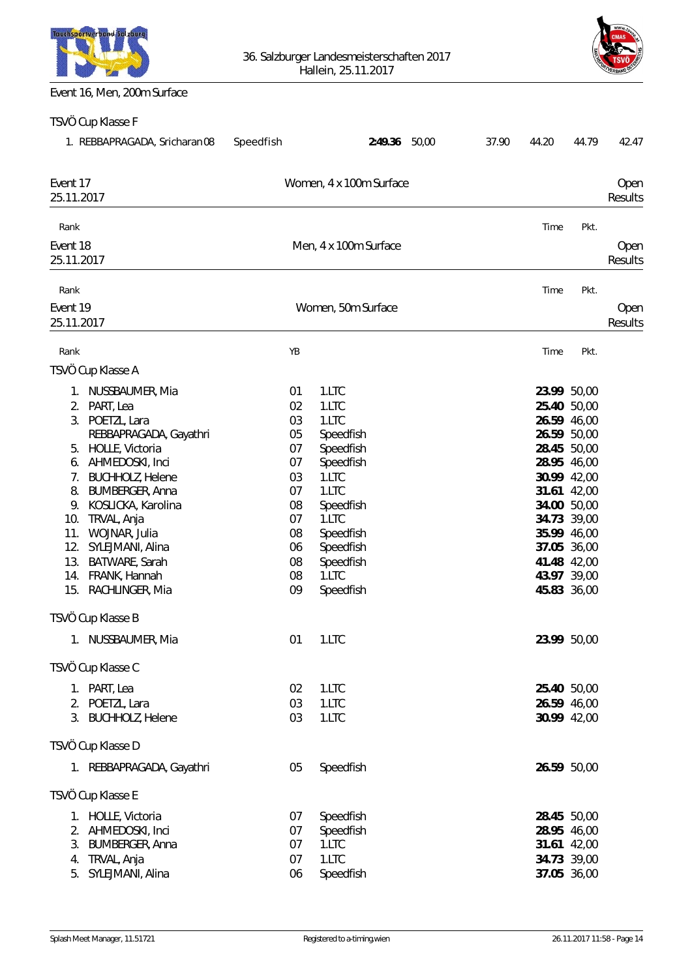



## Event 16, Men, 200m Surface

| TSVÖ Cup Klasse F                                                                                                                                                                                                                                                                                                                                                                                        |                                                                                              |                                                                                                                                                                              |       |       |       |                                                                                                                                                                                                                                              |                 |
|----------------------------------------------------------------------------------------------------------------------------------------------------------------------------------------------------------------------------------------------------------------------------------------------------------------------------------------------------------------------------------------------------------|----------------------------------------------------------------------------------------------|------------------------------------------------------------------------------------------------------------------------------------------------------------------------------|-------|-------|-------|----------------------------------------------------------------------------------------------------------------------------------------------------------------------------------------------------------------------------------------------|-----------------|
| 1. REBBAPRAGADA, Sricharan08                                                                                                                                                                                                                                                                                                                                                                             | Speedfish                                                                                    | 2:49.36                                                                                                                                                                      | 50,00 | 37.90 | 44.20 | 44.79                                                                                                                                                                                                                                        | 42.47           |
| Event 17<br>25.11.2017                                                                                                                                                                                                                                                                                                                                                                                   |                                                                                              | Women, 4 x 100m Surface                                                                                                                                                      |       |       |       |                                                                                                                                                                                                                                              | Oper<br>Results |
| Rank                                                                                                                                                                                                                                                                                                                                                                                                     |                                                                                              |                                                                                                                                                                              |       |       | Time  | Pkt.                                                                                                                                                                                                                                         |                 |
| Event 18<br>25.11.2017                                                                                                                                                                                                                                                                                                                                                                                   |                                                                                              | Men, 4 x 100m Surface                                                                                                                                                        |       |       |       |                                                                                                                                                                                                                                              | Oper<br>Results |
| Rank<br>Event 19<br>25.11.2017                                                                                                                                                                                                                                                                                                                                                                           |                                                                                              | Women, 50m Surface                                                                                                                                                           |       |       | Time  | Pkt.                                                                                                                                                                                                                                         | Oper<br>Results |
| Rank                                                                                                                                                                                                                                                                                                                                                                                                     | YB                                                                                           |                                                                                                                                                                              |       |       | Time  | Pkt.                                                                                                                                                                                                                                         |                 |
| TSVÖ Cup Klasse A                                                                                                                                                                                                                                                                                                                                                                                        |                                                                                              |                                                                                                                                                                              |       |       |       |                                                                                                                                                                                                                                              |                 |
| 1. NUSSBAUMER, Mia<br>2. PART, Lea<br>3. POETZL, Lara<br>REBBAPRAGADA, Gayathri<br>5. HOLLE, Victoria<br>6. AHMEDOSKI, Inci<br><b>BUCHHOLZ, Helene</b><br>7.<br>8.<br><b>BUMBERGER, Anna</b><br>9. KOSLICKA, Karolina<br>10. TRVAL, Anja<br>11. WOJNAR, Julia<br>12.<br>SYLEJMANI, Alina<br>BATWARE, Sarah<br>13.<br>14. FRANK, Hannah<br>15. RACHLINGER, Mia<br>TSVÖ Cup Klasse B<br>1. NUSSBAUMER, Mia | 01<br>02<br>03<br>05<br>07<br>07<br>03<br>07<br>08<br>07<br>08<br>06<br>08<br>08<br>09<br>01 | 1.LTC<br>1.LTC<br>1.LTC<br>Speedfish<br>Speedfish<br>Speedfish<br>1.LTC<br>1.LTC<br>Speedfish<br>1.LTC<br>Speedfish<br>Speedfish<br>Speedfish<br>1.LTC<br>Speedfish<br>1.LTC |       |       |       | 23.99 50,00<br>25.40 50,00<br>26.59 46,00<br>26.59 50,00<br>28.45 50,00<br>28.95 46,00<br>30.99 42,00<br>31.61 42,00<br>34.00 50,00<br>34.73 39,00<br>35.99 46,00<br>37.05 36,00<br>41.48 42,00<br>43.97 39,00<br>45.83 36,00<br>23.99 50,00 |                 |
| TSVÖ Cup Klasse C                                                                                                                                                                                                                                                                                                                                                                                        |                                                                                              |                                                                                                                                                                              |       |       |       |                                                                                                                                                                                                                                              |                 |
| 1. PART, Lea<br>2. POETZL, Lara<br>3. BUCHHOLZ, Helene                                                                                                                                                                                                                                                                                                                                                   | 02<br>03<br>03                                                                               | 1.LTC<br>1.LTC<br>1.LTC                                                                                                                                                      |       |       |       | 25.40 50,00<br>26.59 46,00<br>30.99 42,00                                                                                                                                                                                                    |                 |
| TSVÖ Cup Klasse D                                                                                                                                                                                                                                                                                                                                                                                        |                                                                                              |                                                                                                                                                                              |       |       |       |                                                                                                                                                                                                                                              |                 |
| 1. REBBAPRAGADA, Gayathri                                                                                                                                                                                                                                                                                                                                                                                | 05                                                                                           | Speedfish                                                                                                                                                                    |       |       |       | 26.59 50,00                                                                                                                                                                                                                                  |                 |
| TSVÖ Cup Klasse E                                                                                                                                                                                                                                                                                                                                                                                        |                                                                                              |                                                                                                                                                                              |       |       |       |                                                                                                                                                                                                                                              |                 |
| 1. HOLLE, Victoria<br>2. AHMEDOSKI, Inci<br>3.<br><b>BUMBERGER, Anna</b><br>TRVAL, Anja<br>4.<br>SYLEJMANI, Alina<br>5.                                                                                                                                                                                                                                                                                  | 07<br>07<br>07<br>07<br>06                                                                   | Speedfish<br>Speedfish<br>1.LTC<br>1.LTC<br>Speedfish                                                                                                                        |       |       |       | 28.45 50,00<br>28.95 46,00<br>31.61 42,00<br>34.73 39,00<br>37.05 36,00                                                                                                                                                                      |                 |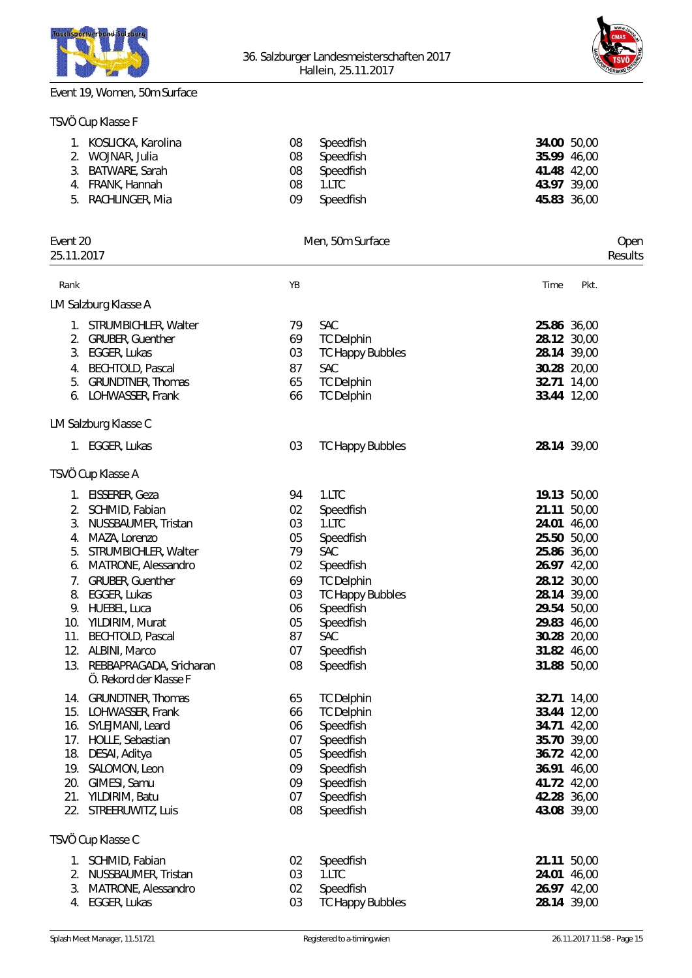



# Event 19, Women, 50m Surface

TSVÖ Cup Klasse F

| 1.<br>3.   | KOSLICKA, Karolina<br>2. WOJNAR, Julia<br>BATWARE, Sarah<br>4. FRANK, Hannah | 08<br>08<br>08<br>08 | Speedfish<br>Speedfish<br>Speedfish<br>1.LTC |       | 34.00 50,00<br>35.99 46,00<br>41.48 42,00<br>43.97 39,00 |         |
|------------|------------------------------------------------------------------------------|----------------------|----------------------------------------------|-------|----------------------------------------------------------|---------|
| 5.         | RACHLINGER, Mia                                                              | 09                   | Speedfish                                    |       | 45.83 36,00                                              |         |
| Event 20   |                                                                              |                      | Men, 50m Surface                             |       |                                                          | Oper    |
| 25.11.2017 |                                                                              |                      |                                              |       |                                                          | Results |
| Rank       |                                                                              | YB                   |                                              | Time  | Pkt.                                                     |         |
|            | LM Salzburg Klasse A                                                         |                      |                                              |       |                                                          |         |
|            | 1. STRUMBICHLER, Walter                                                      | 79                   | <b>SAC</b>                                   |       | 25.86 36,00                                              |         |
|            | 2. GRUBER, Guenther                                                          | 69                   | <b>TC Delphin</b>                            |       | 28.12 30,00                                              |         |
|            | 3. EGGER, Lukas                                                              | 03                   | <b>TC Happy Bubbles</b>                      |       | 28.14 39,00                                              |         |
|            | 4. BECHTOLD, Pascal                                                          | 87                   | <b>SAC</b>                                   |       | 30.28 20,00                                              |         |
| 5.         | <b>GRUNDTNER, Thomas</b>                                                     | 65                   | <b>TC Delphin</b>                            |       | 32.71 14,00                                              |         |
|            | 6. LOHWASSER, Frank                                                          | 66                   | <b>TC Delphin</b>                            |       | 33.44 12,00                                              |         |
|            | LM Salzburg Klasse C                                                         |                      |                                              |       |                                                          |         |
|            | 1. EGGER, Lukas                                                              | 03                   | <b>TC Happy Bubbles</b>                      |       | 28.14 39,00                                              |         |
|            | TSVÖ Cup Klasse A                                                            |                      |                                              |       |                                                          |         |
|            | 1. EISSERER, Geza                                                            | 94                   | 1.LTC                                        |       | 19.13 50,00                                              |         |
| 2.         | SCHMID, Fabian                                                               | 02                   | Speedfish                                    |       | 21.11 50,00                                              |         |
| 3.         | NUSSBAUMER, Tristan                                                          | 03                   | 1.LTC                                        |       | 24.01 46,00                                              |         |
| 4.         | MAZA, Lorenzo                                                                | 05                   | Speedfish                                    |       | 25.50 50,00                                              |         |
| 5.         | STRUMBICHLER, Walter                                                         | 79                   | <b>SAC</b>                                   |       | 25.86 36,00                                              |         |
| 6.         | MATRONE, Alessandro                                                          | 02                   | Speedfish                                    |       | 26.97 42,00                                              |         |
| 7.         | <b>GRUBER, Guenther</b>                                                      | 69                   | <b>TC Delphin</b>                            |       | 28.12 30,00                                              |         |
| 8.         | EGGER, Lukas                                                                 | 03                   | <b>TC Happy Bubbles</b>                      |       | 28.14 39,00                                              |         |
|            | 9. HUEBEL, Luca                                                              | 06                   | Speedfish                                    |       | 29.54 50,00                                              |         |
|            | 10. YILDIRIM, Murat                                                          | 05                   | Speedfish                                    |       | 29.83 46,00                                              |         |
|            | 11. BECHTOLD, Pascal                                                         | 87<br>07             | SAC                                          |       | 30.28 20,00                                              |         |
|            | 12. ALBINI, Marco                                                            |                      | Speedfish                                    |       | 31.82 46,00                                              |         |
|            | 13. REBBAPRAGADA, Sricharan<br>Ö. Rekord der Klasse F                        | 08                   | Speedfish                                    |       | 31.88 50,00                                              |         |
|            | 14. GRUNDTNER, Thomas                                                        | 65                   | <b>TC Delphin</b>                            |       | 32.71 14,00                                              |         |
|            | 15. LOHWASSER, Frank                                                         | 66                   | <b>TC Delphin</b>                            |       | 33.44 12,00                                              |         |
|            | 16. SYLEJMANI, Leard                                                         | 06                   | Speedfish                                    |       | 34.71 42,00                                              |         |
| 17.        | HOLLE, Sebastian                                                             | 07                   | Speedfish                                    |       | 35.70 39,00                                              |         |
| 18.        | DESAI, Aditya                                                                | 05                   | Speedfish                                    |       | 36.72 42,00                                              |         |
| 19.        | SALOMON, Leon                                                                | 09                   | Speedfish                                    |       | 36.91 46,00                                              |         |
| 20.        | GIMESI, Samu                                                                 | 09                   | Speedfish                                    |       | 41.72 42,00                                              |         |
| 21.<br>22. | YILDIRIM, Batu<br>STREERUWITZ, Luis                                          | 07<br>08             | Speedfish<br>Speedfish                       |       | 42.28 36,00<br>43.08 39,00                               |         |
|            | TSVÖ Cup Klasse C                                                            |                      |                                              |       |                                                          |         |
|            |                                                                              |                      |                                              |       |                                                          |         |
| 1.         | SCHMID, Fabian                                                               | 02                   | Speedfish                                    | 21.11 | 50,00                                                    |         |
| 2.         | NUSSBAUMER, Tristan                                                          | 03                   | 1.LTC                                        | 24.01 | 46,00                                                    |         |
| 3.<br>4.   | MATRONE, Alessandro<br>EGGER, Lukas                                          | 02<br>03             | Speedfish<br><b>TC Happy Bubbles</b>         |       | 26.97 42,00<br>28.14 39,00                               |         |
|            |                                                                              |                      |                                              |       |                                                          |         |
|            |                                                                              |                      |                                              |       |                                                          |         |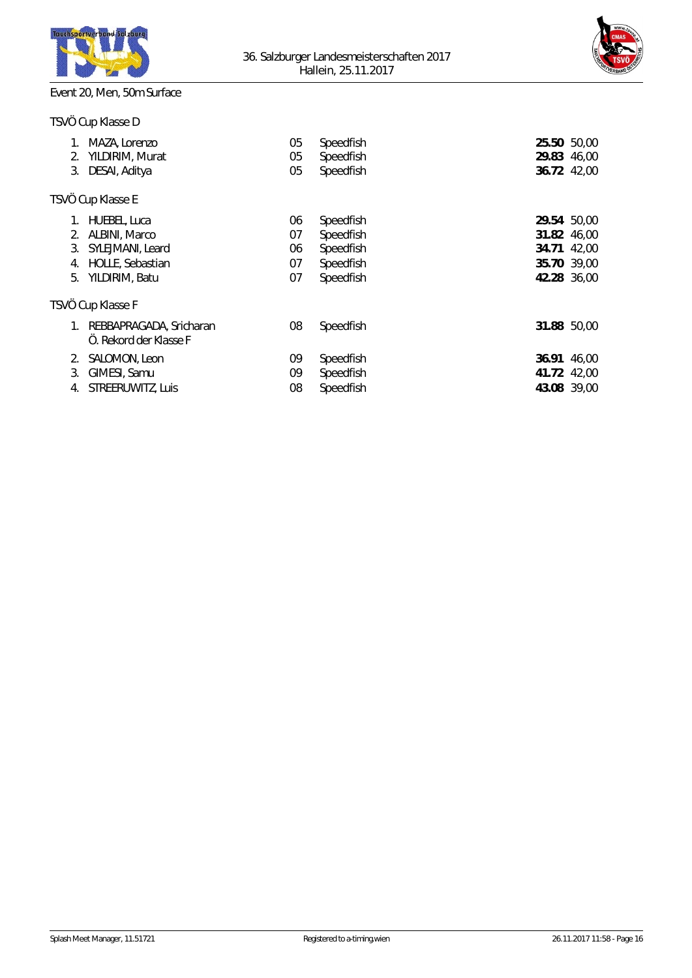



# Event 20, Men, 50m Surface

|  | TSVÖ Cup Klasse D |
|--|-------------------|
|--|-------------------|

| 2.<br>3.             | MAZA, Lorenzo<br>YILDIRIM, Murat<br>DESAI, Aditya                                       | 05<br>05<br>05             | Speedfish<br>Speedfish<br>Speedfish                           | 25.50 50,00<br>29.83 46,00<br>36.72 42,00                               |       |
|----------------------|-----------------------------------------------------------------------------------------|----------------------------|---------------------------------------------------------------|-------------------------------------------------------------------------|-------|
|                      | TSVÖ Cup Klasse E                                                                       |                            |                                                               |                                                                         |       |
| 2.<br>3.<br>4.<br>5. | HUEBEL, Luca<br>ALBINI, Marco<br>SYLEJMANI, Leard<br>HOLLE, Sebastian<br>YILDIRIM, Batu | 06<br>07<br>06<br>07<br>07 | Speedfish<br>Speedfish<br>Speedfish<br>Speedfish<br>Speedfish | 29.54 50,00<br>31.82 46,00<br>34.71 42,00<br>35.70 39,00<br>42.28 36,00 |       |
|                      | TSVÖ Cup Klasse F                                                                       |                            |                                                               |                                                                         |       |
|                      | REBBAPRAGADA, Sricharan<br>O. Rekord der Klasse F                                       | 08                         | Speedfish                                                     | 31.88 50,00                                                             |       |
| 2.<br>3.<br>4.       | SALOMON, Leon<br>GIMESI, Samu<br>STREERUWITZ, Luis                                      | 09<br>09<br>08             | Speedfish<br>Speedfish<br>Speedfish                           | 36.91<br>41.72 42,00<br>43.08 39,00                                     | 46,00 |
|                      |                                                                                         |                            |                                                               |                                                                         |       |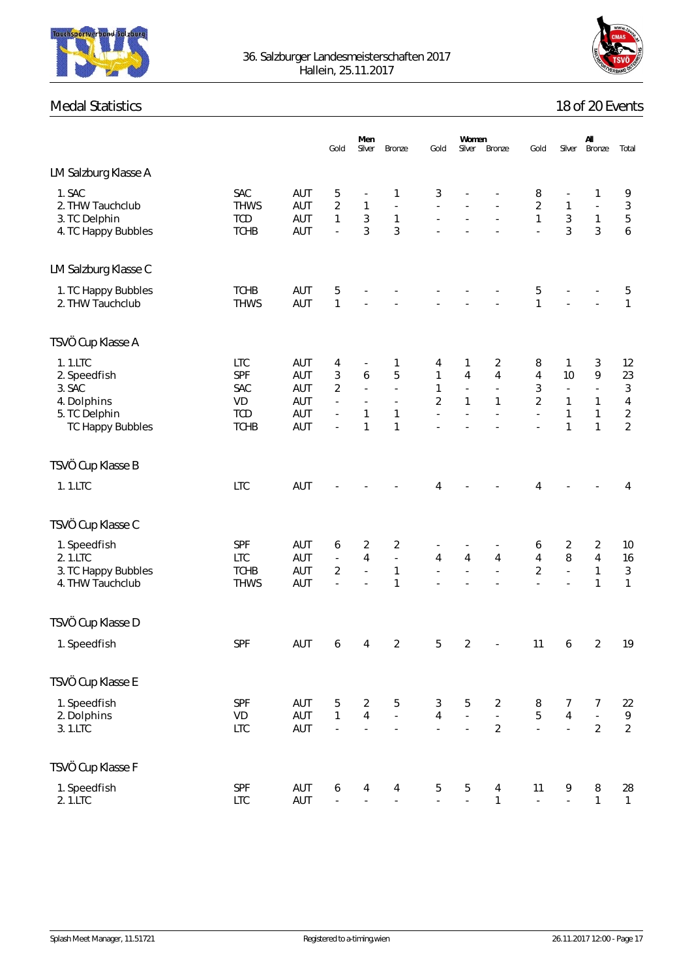



# Medal Statistics

|  | 18 of 20 Events |
|--|-----------------|
|  |                 |

|                                                                                              |                                                             |                                        | Gold                                         | Men<br>Silver                                                                                       | Bronze                                                        | Gold                                                                   | Women<br>Silver                                                       | Bronze                                                                                         | Gold                                      | Silver                                                                              | All<br>Bronze                                                           | Total                                                                        |
|----------------------------------------------------------------------------------------------|-------------------------------------------------------------|----------------------------------------|----------------------------------------------|-----------------------------------------------------------------------------------------------------|---------------------------------------------------------------|------------------------------------------------------------------------|-----------------------------------------------------------------------|------------------------------------------------------------------------------------------------|-------------------------------------------|-------------------------------------------------------------------------------------|-------------------------------------------------------------------------|------------------------------------------------------------------------------|
| LM Salzburg Klasse A                                                                         |                                                             |                                        |                                              |                                                                                                     |                                                               |                                                                        |                                                                       |                                                                                                |                                           |                                                                                     |                                                                         |                                                                              |
| 1. SAC<br>2. THW Tauchclub<br>3. TC Delphin<br>4. TC Happy Bubbles                           | SAC<br><b>THWS</b><br><b>TCD</b><br><b>TCHB</b>             | AUT<br>AUT<br>AUT<br>AUT               | 5<br>$\overline{2}$<br>$\mathbf{1}$<br>ä,    | $\mathbf{1}$<br>$\sqrt{3}$<br>3                                                                     | 1<br>$\Box$<br>$\mathbf{1}$<br>$\mathfrak{Z}$                 | 3<br>L,<br>÷,                                                          |                                                                       | ä,                                                                                             | 8<br>$\overline{2}$<br>$\mathbf{1}$<br>L. | $\overline{\phantom{a}}$<br>$\mathbf{1}$<br>$\mathfrak{Z}$<br>$\overline{3}$        | 1<br>$\Box$<br>1<br>3                                                   | 9<br>$\mathfrak{Z}$<br>$\sqrt{5}$<br>$\overline{6}$                          |
| LM Salzburg Klasse C                                                                         |                                                             |                                        |                                              |                                                                                                     |                                                               |                                                                        |                                                                       |                                                                                                |                                           |                                                                                     |                                                                         |                                                                              |
| 1. TC Happy Bubbles<br>2. THW Tauchclub                                                      | <b>TCHB</b><br><b>THWS</b>                                  | AUT<br>AUT                             | 5<br>1                                       |                                                                                                     |                                                               |                                                                        |                                                                       | ä,                                                                                             | 5<br>1                                    | ÷.                                                                                  | ÷,                                                                      | 5<br>$\mathbf{1}$                                                            |
| TSVÖ Cup Klasse A                                                                            |                                                             |                                        |                                              |                                                                                                     |                                                               |                                                                        |                                                                       |                                                                                                |                                           |                                                                                     |                                                                         |                                                                              |
| 1.1.LTC<br>2. Speedfish<br>3. SAC<br>4. Dolphins<br>5. TC Delphin<br><b>TC Happy Bubbles</b> | <b>LTC</b><br>SPF<br>SAC<br>VD<br><b>TCD</b><br><b>TCHB</b> | AUT<br>AUT<br>AUT<br>AUT<br>AUT<br>AUT | 4<br>3<br>$\overline{2}$<br>ä,<br>÷,<br>÷,   | $\overline{\phantom{a}}$<br>$\boldsymbol{6}$<br>÷,<br>$\overline{\phantom{a}}$<br>1<br>$\mathbf{1}$ | 1<br>5<br>÷,<br>$\overline{\phantom{a}}$<br>1<br>$\mathbf{1}$ | 4<br>$\mathbf{1}$<br>$\mathbf{1}$<br>$\overline{2}$<br>ä,              | 1<br>$\overline{4}$<br>$\overline{\phantom{a}}$<br>$\mathbf{1}$<br>÷, | $\overline{2}$<br>$\overline{4}$<br>$\overline{\phantom{a}}$<br>$\mathbf{1}$<br>$\overline{a}$ | 8<br>4<br>3<br>$\overline{2}$<br>ä,       | 1<br>10<br>$\overline{\phantom{a}}$<br>$\mathbf{1}$<br>$\mathbf{1}$<br>$\mathbf{1}$ | 3<br>9<br>$\overline{\phantom{a}}$<br>1<br>$\mathbf{1}$<br>$\mathbf{1}$ | 12<br>23<br>$\sqrt{3}$<br>$\overline{4}$<br>$\overline{2}$<br>$\overline{2}$ |
| TSVÖ Cup Klasse B                                                                            |                                                             |                                        |                                              |                                                                                                     |                                                               |                                                                        |                                                                       |                                                                                                |                                           |                                                                                     |                                                                         |                                                                              |
| 1.1.LTC                                                                                      | <b>LTC</b>                                                  | AUT                                    |                                              |                                                                                                     |                                                               | 4                                                                      |                                                                       |                                                                                                | 4                                         |                                                                                     |                                                                         | 4                                                                            |
| TSVÖ Cup Klasse C                                                                            |                                                             |                                        |                                              |                                                                                                     |                                                               |                                                                        |                                                                       |                                                                                                |                                           |                                                                                     |                                                                         |                                                                              |
| 1. Speedfish<br>2.1.LTC<br>3. TC Happy Bubbles<br>4. THW Tauchclub                           | SPF<br><b>LTC</b><br><b>TCHB</b><br><b>THWS</b>             | AUT<br>AUT<br>AUT<br>AUT               | 6<br>$\Box$<br>$\overline{2}$<br>L,          | $\overline{2}$<br>$\overline{4}$<br>ä,                                                              | 2<br>$\Box$<br>$\mathbf{1}$<br>$\mathbf{1}$                   | $\overline{\phantom{a}}$<br>$\overline{4}$<br>$\overline{\phantom{a}}$ | $\overline{4}$<br>L.                                                  | $\overline{4}$<br>L,                                                                           | 6<br>$\overline{4}$<br>$\overline{2}$     | 2<br>8<br>L,<br>L.                                                                  | 2<br>$\overline{4}$<br>$\mathbf{1}$<br>$\mathbf{1}$                     | 10<br>16<br>$\sqrt{3}$<br>$\mathbf{1}$                                       |
| TSVÖ Cup Klasse D                                                                            |                                                             |                                        |                                              |                                                                                                     |                                                               |                                                                        |                                                                       |                                                                                                |                                           |                                                                                     |                                                                         |                                                                              |
| 1. Speedfish                                                                                 | SPF                                                         | AUT                                    | 6                                            | 4                                                                                                   | 2                                                             | 5                                                                      | $\overline{2}$                                                        | $\sigma_{\rm{max}}$                                                                            | 11                                        | 6                                                                                   | 2                                                                       | 19                                                                           |
| TSVÖ Cup Klasse E                                                                            |                                                             |                                        |                                              |                                                                                                     |                                                               |                                                                        |                                                                       |                                                                                                |                                           |                                                                                     |                                                                         |                                                                              |
| 1. Speedfish<br>2. Dolphins<br>3.1.LTC                                                       | SPF<br><b>VD</b><br><b>LTC</b>                              | AUT<br>AUT<br>AUT                      | $5\,$<br>$\mathbf{1}$<br>$\overline{a}$      | $\overline{2}$<br>$\overline{4}$<br>$\Box$                                                          | $\mathbf 5$<br>L.<br>$\blacksquare$                           | $\mathfrak{Z}$<br>$\overline{4}$<br>$\mathbb{Z}^+$                     | 5<br>$\overline{\phantom{a}}$<br>÷,                                   | $\overline{2}$<br>$\omega$<br>$\overline{2}$                                                   | 8<br>5<br>$\mathcal{L}^{\mathcal{L}}$     | $\overline{7}$<br>$\overline{4}$<br>$\omega$                                        | $\overline{7}$<br>ä,<br>$\overline{2}$                                  | 22<br>9<br>$\overline{2}$                                                    |
| TSVÖ Cup Klasse F                                                                            |                                                             |                                        |                                              |                                                                                                     |                                                               |                                                                        |                                                                       |                                                                                                |                                           |                                                                                     |                                                                         |                                                                              |
| 1. Speedfish<br>2.1.LTC                                                                      | SPF<br><b>LTC</b>                                           | AUT<br>AUT                             | $\boldsymbol{6}$<br>$\overline{\phantom{a}}$ | $\overline{4}$<br>$\Box$                                                                            | 4<br>$\Box$                                                   | $\overline{5}$<br>ä,                                                   | 5<br>L.                                                               | $\overline{4}$<br>$\mathbf{1}$                                                                 | 11<br>$\mathbb{Z}^2$                      | 9<br>ä,                                                                             | $\, 8$<br>$\mathbf{1}$                                                  | 28<br>$\mathbf{1}$                                                           |